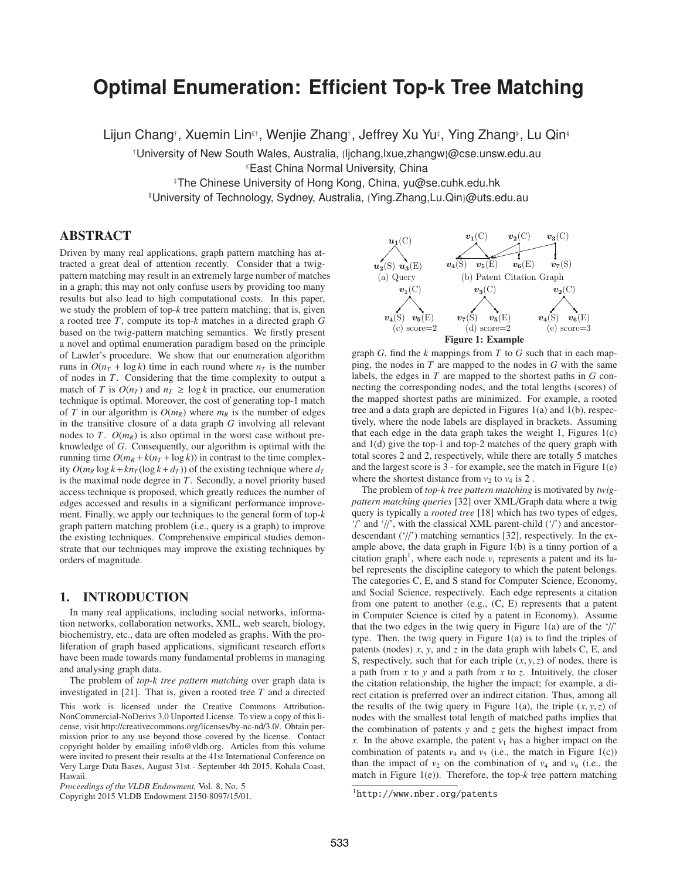# **Optimal Enumeration: Efficient Top-k Tree Matching**

Lijun Chang†, Xuemin Lin£†, Wenjie Zhang†, Jeffrey Xu Yu‡, Ying Zhang§, Lu Qin§

†University of New South Wales, Australia, {ljchang,lxue,zhangw}@cse.unsw.edu.au

 $E$ East China Normal University, China

‡The Chinese University of Hong Kong, China, yu@se.cuhk.edu.hk

§University of Technology, Sydney, Australia, {Ying.Zhang,Lu.Qin}@uts.edu.au

## ABSTRACT

Driven by many real applications, graph pattern matching has attracted a great deal of attention recently. Consider that a twigpattern matching may result in an extremely large number of matches in a graph; this may not only confuse users by providing too many results but also lead to high computational costs. In this paper, we study the problem of top-*k* tree pattern matching; that is, given a rooted tree *T*, compute its top-*k* matches in a directed graph *G* based on the twig-pattern matching semantics. We firstly present a novel and optimal enumeration paradigm based on the principle of Lawler's procedure. We show that our enumeration algorithm runs in  $O(n_T + \log k)$  time in each round where  $n_T$  is the number of nodes in *T*. Considering that the time complexity to output a match of *T* is  $O(n_T)$  and  $n_T \ge \log k$  in practice, our enumeration technique is optimal. Moreover, the cost of generating top-1 match of *T* in our algorithm is  $O(m_R)$  where  $m_R$  is the number of edges in the transitive closure of a data graph *G* involving all relevant nodes to *T*.  $O(m_R)$  is also optimal in the worst case without preknowledge of *G*. Consequently, our algorithm is optimal with the running time  $O(m_R + k(n_T + \log k))$  in contrast to the time complexity  $O(m_R \log k + kn_T(\log k + d_T))$  of the existing technique where  $d_T$ is the maximal node degree in *T*. Secondly, a novel priority based access technique is proposed, which greatly reduces the number of edges accessed and results in a significant performance improvement. Finally, we apply our techniques to the general form of top-*k* graph pattern matching problem (i.e., query is a graph) to improve the existing techniques. Comprehensive empirical studies demonstrate that our techniques may improve the existing techniques by orders of magnitude.

# 1. INTRODUCTION

In many real applications, including social networks, information networks, collaboration networks, XML, web search, biology, biochemistry, etc., data are often modeled as graphs. With the proliferation of graph based applications, significant research efforts have been made towards many fundamental problems in managing and analysing graph data.

The problem of *top-k tree pattern matching* over graph data is investigated in [21]. That is, given a rooted tree *T* and a directed

This work is licensed under the Creative Commons Attribution-NonCommercial-NoDerivs 3.0 Unported License. To view a copy of this license, visit http://creativecommons.org/licenses/by-nc-nd/3.0/. Obtain permission prior to any use beyond those covered by the license. Contact copyright holder by emailing info@vldb.org. Articles from this volume were invited to present their results at the 41st International Conference on Very Large Data Bases, August 31st - September 4th 2015, Kohala Coast, Hawaii.



graph *G*, find the *k* mappings from *T* to *G* such that in each mapping, the nodes in *T* are mapped to the nodes in *G* with the same labels, the edges in *T* are mapped to the shortest paths in *G* connecting the corresponding nodes, and the total lengths (scores) of the mapped shortest paths are minimized. For example, a rooted tree and a data graph are depicted in Figures 1(a) and 1(b), respectively, where the node labels are displayed in brackets. Assuming that each edge in the data graph takes the weight 1, Figures  $1(c)$ and 1(d) give the top-1 and top-2 matches of the query graph with total scores 2 and 2, respectively, while there are totally 5 matches and the largest score is 3 - for example, see the match in Figure 1(e) where the shortest distance from  $v_2$  to  $v_4$  is 2.

The problem of *top-k tree pattern matching* is motivated by *twigpattern matching queries* [32] over XML/Graph data where a twig query is typically a *rooted tree* [18] which has two types of edges, '/' and '//', with the classical XML parent-child ('/') and ancestordescendant ('//') matching semantics [32], respectively. In the example above, the data graph in Figure 1(b) is a tinny portion of a citation graph<sup>1</sup>, where each node  $v_i$  represents a patent and its label represents the discipline category to which the patent belongs. The categories C, E, and S stand for Computer Science, Economy, and Social Science, respectively. Each edge represents a citation from one patent to another (e.g., (C, E) represents that a patent in Computer Science is cited by a patent in Economy). Assume that the two edges in the twig query in Figure 1(a) are of the  $\frac{1}{2}$ type. Then, the twig query in Figure 1(a) is to find the triples of patents (nodes) *x*, *y*, and *z* in the data graph with labels C, E, and S, respectively, such that for each triple  $(x, y, z)$  of nodes, there is a path from *x* to *y* and a path from *x* to *z*. Intuitively, the closer the citation relationship, the higher the impact; for example, a direct citation is preferred over an indirect citation. Thus, among all the results of the twig query in Figure 1(a), the triple  $(x, y, z)$  of nodes with the smallest total length of matched paths implies that the combination of patents *y* and *z* gets the highest impact from *x*. In the above example, the patent  $v_1$  has a higher impact on the combination of patents  $v_4$  and  $v_5$  (i.e., the match in Figure 1(c)) than the impact of  $v_2$  on the combination of  $v_4$  and  $v_6$  (i.e., the match in Figure 1(e)). Therefore, the top-*k* tree pattern matching

*Proceedings of the VLDB Endowment,* Vol. 8, No. 5

Copyright 2015 VLDB Endowment 2150-8097/15/01.

<sup>1</sup>http://www.nber.org/patents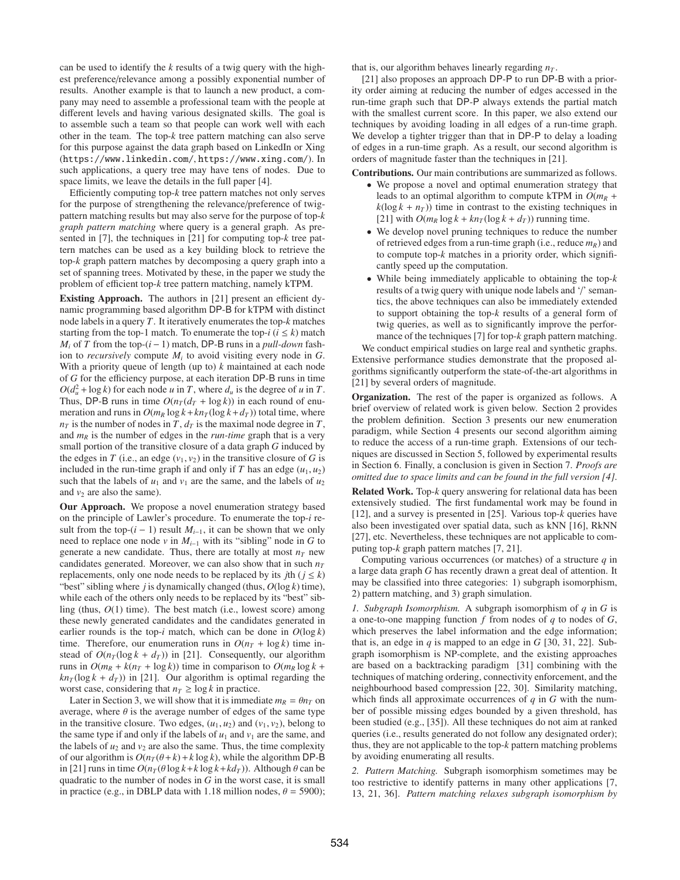can be used to identify the *k* results of a twig query with the highest preference/relevance among a possibly exponential number of results. Another example is that to launch a new product, a company may need to assemble a professional team with the people at different levels and having various designated skills. The goal is to assemble such a team so that people can work well with each other in the team. The top-*k* tree pattern matching can also serve for this purpose against the data graph based on LinkedIn or Xing (https://www.linkedin.com/, https://www.xing.com/). In such applications, a query tree may have tens of nodes. Due to space limits, we leave the details in the full paper [4].

Efficiently computing top-*k* tree pattern matches not only serves for the purpose of strengthening the relevance/preference of twigpattern matching results but may also serve for the purpose of top-*k graph pattern matching* where query is a general graph. As presented in [7], the techniques in [21] for computing top-*k* tree pattern matches can be used as a key building block to retrieve the top-*k* graph pattern matches by decomposing a query graph into a set of spanning trees. Motivated by these, in the paper we study the problem of efficient top-*k* tree pattern matching, namely kTPM.

Existing Approach. The authors in [21] present an efficient dynamic programming based algorithm DP-B for kTPM with distinct node labels in a query *T*. It iteratively enumerates the top-*k* matches starting from the top-1 match. To enumerate the top- $i$  ( $i \leq k$ ) match *M<sub>i</sub>* of *T* from the top- $(i - 1)$  match, DP-B runs in a *pull-down* fashion to *recursively* compute  $M_i$  to avoid visiting every node in  $G$ . With a priority queue of length (up to) *k* maintained at each node of *G* for the efficiency purpose, at each iteration DP-B runs in time  $O(d_u^2 + \log k)$  for each node *u* in *T*, where  $d_u$  is the degree of *u* in *T*. Thus, DP-B runs in time  $O(n_T(d_T + \log k))$  in each round of enumeration and runs in  $O(m_R \log k + kn_T(\log k + d_T))$  total time, where  $n<sub>T</sub>$  is the number of nodes in *T*,  $d<sub>T</sub>$  is the maximal node degree in *T*, and  $m_R$  is the number of edges in the *run-time* graph that is a very small portion of the transitive closure of a data graph *G* induced by the edges in *T* (i.e., an edge  $(v_1, v_2)$  in the transitive closure of *G* is included in the run-time graph if and only if *T* has an edge  $(u_1, u_2)$ such that the labels of  $u_1$  and  $v_1$  are the same, and the labels of  $u_2$ and  $v_2$  are also the same).

Our Approach. We propose a novel enumeration strategy based on the principle of Lawler's procedure. To enumerate the top-*i* result from the top- $(i − 1)$  result  $M_{i-1}$ , it can be shown that we only need to replace one node *v* in  $M_{i-1}$  with its "sibling" node in G to generate a new candidate. Thus, there are totally at most  $n<sub>T</sub>$  new candidates generated. Moreover, we can also show that in such  $n_T$ replacements, only one node needs to be replaced by its *j*th ( $j \leq k$ ) "best" sibling where  $j$  is dynamically changed (thus,  $O(\log k)$  time), while each of the others only needs to be replaced by its "best" sibling (thus, *O*(1) time). The best match (i.e., lowest score) among these newly generated candidates and the candidates generated in earlier rounds is the top-*i* match, which can be done in  $O(\log k)$ time. Therefore, our enumeration runs in  $O(n_T + \log k)$  time instead of  $O(n_T(\log k + d_T))$  in [21]. Consequently, our algorithm runs in  $O(m_R + k(n_T + \log k))$  time in comparison to  $O(m_R \log k +$  $kn<sub>T</sub>(log k + d<sub>T</sub>)$  in [21]. Our algorithm is optimal regarding the worst case, considering that  $n_T \geq \log k$  in practice.

Later in Section 3, we will show that it is immediate  $m_R = \theta n_T$  on average, where  $\theta$  is the average number of edges of the same type in the transitive closure. Two edges,  $(u_1, u_2)$  and  $(v_1, v_2)$ , belong to the same type if and only if the labels of  $u_1$  and  $v_1$  are the same, and the labels of  $u_2$  and  $v_2$  are also the same. Thus, the time complexity of our algorithm is  $O(n_T(\theta + k) + k \log k)$ , while the algorithm DP-B in [21] runs in time  $O(n_T(\theta \log k + k \log k + k d_T))$ . Although  $\theta$  can be quadratic to the number of nodes in *G* in the worst case, it is small in practice (e.g., in DBLP data with 1.18 million nodes,  $\theta = 5900$ ); that is, our algorithm behaves linearly regarding  $n<sub>T</sub>$ .

[21] also proposes an approach DP-P to run DP-B with a priority order aiming at reducing the number of edges accessed in the run-time graph such that DP-P always extends the partial match with the smallest current score. In this paper, we also extend our techniques by avoiding loading in all edges of a run-time graph. We develop a tighter trigger than that in DP-P to delay a loading of edges in a run-time graph. As a result, our second algorithm is orders of magnitude faster than the techniques in [21].

Contributions. Our main contributions are summarized as follows.

- We propose a novel and optimal enumeration strategy that leads to an optimal algorithm to compute kTPM in  $O(m_R +$  $k(\log k + n_T)$  time in contrast to the existing techniques in [21] with  $O(m_R \log k + kn_T(\log k + d_T))$  running time.
- We develop novel pruning techniques to reduce the number of retrieved edges from a run-time graph (i.e., reduce  $m_R$ ) and to compute top-*k* matches in a priority order, which significantly speed up the computation.
- While being immediately applicable to obtaining the top-*k* results of a twig query with unique node labels and '/' semantics, the above techniques can also be immediately extended to support obtaining the top-*k* results of a general form of twig queries, as well as to significantly improve the performance of the techniques [7] for top-*k* graph pattern matching.

We conduct empirical studies on large real and synthetic graphs. Extensive performance studies demonstrate that the proposed algorithms significantly outperform the state-of-the-art algorithms in [21] by several orders of magnitude.

Organization. The rest of the paper is organized as follows. A brief overview of related work is given below. Section 2 provides the problem definition. Section 3 presents our new enumeration paradigm, while Section 4 presents our second algorithm aiming to reduce the access of a run-time graph. Extensions of our techniques are discussed in Section 5, followed by experimental results in Section 6. Finally, a conclusion is given in Section 7. *Proofs are omitted due to space limits and can be found in the full version [4]*.

Related Work. Top-*k* query answering for relational data has been extensively studied. The first fundamental work may be found in [12], and a survey is presented in [25]. Various top-*k* queries have also been investigated over spatial data, such as kNN [16], RkNN [27], etc. Nevertheless, these techniques are not applicable to computing top-*k* graph pattern matches [7, 21].

Computing various occurrences (or matches) of a structure *q* in a large data graph *G* has recently drawn a great deal of attention. It may be classified into three categories: 1) subgraph isomorphism, 2) pattern matching, and 3) graph simulation.

*1. Subgraph Isomorphism.* A subgraph isomorphism of *q* in *G* is a one-to-one mapping function *f* from nodes of *q* to nodes of *G*, which preserves the label information and the edge information; that is, an edge in  $q$  is mapped to an edge in  $G$  [30, 31, 22]. Subgraph isomorphism is NP-complete, and the existing approaches are based on a backtracking paradigm [31] combining with the techniques of matching ordering, connectivity enforcement, and the neighbourhood based compression [22, 30]. Similarity matching, which finds all approximate occurrences of *q* in *G* with the number of possible missing edges bounded by a given threshold, has been studied (e.g., [35]). All these techniques do not aim at ranked queries (i.e., results generated do not follow any designated order); thus, they are not applicable to the top-*k* pattern matching problems by avoiding enumerating all results.

*2. Pattern Matching.* Subgraph isomorphism sometimes may be too restrictive to identify patterns in many other applications [7, 13, 21, 36]. *Pattern matching relaxes subgraph isomorphism by*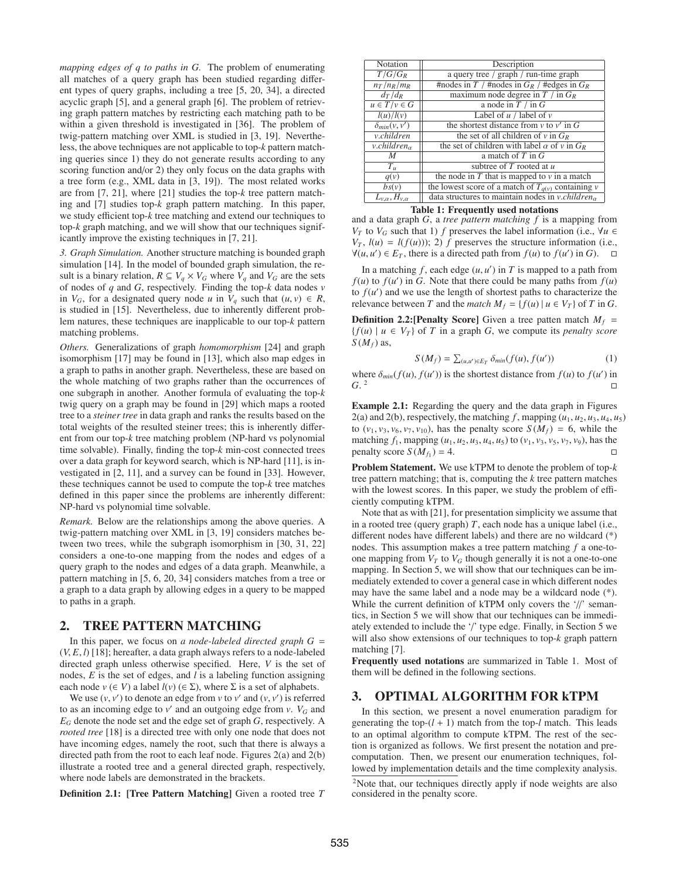*mapping edges of q to paths in G.* The problem of enumerating all matches of a query graph has been studied regarding different types of query graphs, including a tree [5, 20, 34], a directed acyclic graph [5], and a general graph [6]. The problem of retrieving graph pattern matches by restricting each matching path to be within a given threshold is investigated in [36]. The problem of twig-pattern matching over XML is studied in [3, 19]. Nevertheless, the above techniques are not applicable to top-*k* pattern matching queries since 1) they do not generate results according to any scoring function and/or 2) they only focus on the data graphs with a tree form (e.g., XML data in [3, 19]). The most related works are from [7, 21], where [21] studies the top-*k* tree pattern matching and [7] studies top-*k* graph pattern matching. In this paper, we study efficient top-*k* tree matching and extend our techniques to top-*k* graph matching, and we will show that our techniques significantly improve the existing techniques in [7, 21].

*3. Graph Simulation.* Another structure matching is bounded graph simulation [14]. In the model of bounded graph simulation, the result is a binary relation,  $R \subseteq V_q \times V_G$  where  $V_q$  and  $V_G$  are the sets of nodes of *q* and *G*, respectively. Finding the top-*k* data nodes *v* in  $V_G$ , for a designated query node *u* in  $V_q$  such that  $(u, v) \in R$ , is studied in [15]. Nevertheless, due to inherently different problem natures, these techniques are inapplicable to our top-*k* pattern matching problems.

*Others.* Generalizations of graph *homomorphism* [24] and graph isomorphism [17] may be found in [13], which also map edges in a graph to paths in another graph. Nevertheless, these are based on the whole matching of two graphs rather than the occurrences of one subgraph in another. Another formula of evaluating the top-*k* twig query on a graph may be found in [29] which maps a rooted tree to a *steiner tree* in data graph and ranks the results based on the total weights of the resulted steiner trees; this is inherently different from our top-*k* tree matching problem (NP-hard vs polynomial time solvable). Finally, finding the top-*k* min-cost connected trees over a data graph for keyword search, which is NP-hard [11], is investigated in [2, 11], and a survey can be found in [33]. However, these techniques cannot be used to compute the top-*k* tree matches defined in this paper since the problems are inherently different: NP-hard vs polynomial time solvable.

*Remark.* Below are the relationships among the above queries. A twig-pattern matching over XML in [3, 19] considers matches between two trees, while the subgraph isomorphism in [30, 31, 22] considers a one-to-one mapping from the nodes and edges of a query graph to the nodes and edges of a data graph. Meanwhile, a pattern matching in [5, 6, 20, 34] considers matches from a tree or a graph to a data graph by allowing edges in a query to be mapped to paths in a graph.

#### 2. TREE PATTERN MATCHING

In this paper, we focus on *a node-labeled directed graph G* = (*V*, *E*, *l*) [18]; hereafter, a data graph always refers to a node-labeled directed graph unless otherwise specified. Here, *V* is the set of nodes, *E* is the set of edges, and *l* is a labeling function assigning each node  $v \in V$ ) a label  $l(v) \in \Sigma$ ), where  $\Sigma$  is a set of alphabets.

We use  $(v, v')$  to denote an edge from  $v$  to  $v'$  and  $(v, v')$  is referred to as an incoming edge to  $v'$  and an outgoing edge from  $v$ .  $V_G$  and *EG* denote the node set and the edge set of graph *G*, respectively. A *rooted tree* [18] is a directed tree with only one node that does not have incoming edges, namely the root, such that there is always a directed path from the root to each leaf node. Figures 2(a) and 2(b) illustrate a rooted tree and a general directed graph, respectively, where node labels are demonstrated in the brackets.

Definition 2.1: [Tree Pattern Matching] Given a rooted tree *T*

| Notation                     | Description                                                 |  |  |  |
|------------------------------|-------------------------------------------------------------|--|--|--|
| $T/G/G_R$                    | a query tree / graph / run-time graph                       |  |  |  |
| $n_T/n_R/m_R$                | #nodes in T / #nodes in $G_R$ / #edges in $G_R$             |  |  |  |
| $d_T/d_R$                    | maximum node degree in $T /$ in $G_R$                       |  |  |  |
| $u \in T/v \in G$            | a node in $T /$ in $G$                                      |  |  |  |
| l(u)/l(v)                    | Label of $u /$ label of $v$                                 |  |  |  |
| $\delta_{min}(v, v')$        | the shortest distance from $v$ to $v'$ in G                 |  |  |  |
| v.children                   | the set of all children of v in $G_R$                       |  |  |  |
| $v$ .children $\alpha$       | the set of children with label $\alpha$ of $\nu$ in $G_R$   |  |  |  |
| M                            | a match of $T$ in $G$                                       |  |  |  |
| $T_u$                        | subtree of $T$ rooted at $u$                                |  |  |  |
| q(v)                         | the node in $T$ that is mapped to $\nu$ in a match          |  |  |  |
| bs(v)                        | the lowest score of a match of $T_{q(v)}$ containing v      |  |  |  |
| $L_{v,\alpha}, H_{v,\alpha}$ | data structures to maintain nodes in v.children $_{\alpha}$ |  |  |  |

Table 1: Frequently used notations

and a data graph *G*, a *tree pattern matching f* is a mapping from *V<sub>T</sub>* to *V<sub>G</sub>* such that 1) *f* preserves the label information (i.e.,  $\forall u \in$  $V_T$ ,  $l(u) = l(f(u))$ ; 2) *f* preserves the structure information (i.e.,  $\forall$ (*u*, *u*') ∈ *E<sub>T</sub>*, there is a directed path from *f*(*u*) to *f*(*u*') in *G*).  $\Box$ 

In a matching  $f$ , each edge  $(u, u')$  in  $T$  is mapped to a path from  $f(u)$  to  $f(u')$  in *G*. Note that there could be many paths from  $f(u)$ to  $f(u')$  and we use the length of shortest paths to characterize the relevance between *T* and the *match*  $M_f = \{f(u) | u \in V_T\}$  of *T* in *G*.

**Definition 2.2:**[Penalty Score] Given a tree patten match  $M_f$  =  ${f(u) \mid u \in V_T}$  of *T* in a graph *G*, we compute its *penalty score*  $S(M_f)$  as,

$$
S(M_f) = \sum_{(u,u') \in E_T} \delta_{min}(f(u), f(u')) \qquad (1)
$$

where  $\delta_{min}(f(u), f(u'))$  is the shortest distance from  $f(u)$  to  $f(u')$  in  $G<sup>2</sup>$   $\Box$ 

Example 2.1: Regarding the query and the data graph in Figures 2(a) and 2(b), respectively, the matching  $f$ , mapping  $(u_1, u_2, u_3, u_4, u_5)$ to  $(v_1, v_3, v_6, v_7, v_{10})$ , has the penalty score  $S(M_f) = 6$ , while the matching  $f_1$ , mapping  $(u_1, u_2, u_3, u_4, u_5)$  to  $(v_1, v_3, v_5, v_7, v_9)$ , has the penalty score  $S(M_f) = 4$ .

Problem Statement. We use kTPM to denote the problem of top-*k* tree pattern matching; that is, computing the *k* tree pattern matches with the lowest scores. In this paper, we study the problem of efficiently computing kTPM.

Note that as with [21], for presentation simplicity we assume that in a rooted tree (query graph) *T*, each node has a unique label (i.e., different nodes have different labels) and there are no wildcard (\*) nodes. This assumption makes a tree pattern matching *f* a one-toone mapping from  $V_T$  to  $V_G$  though generally it is not a one-to-one mapping. In Section 5, we will show that our techniques can be immediately extended to cover a general case in which different nodes may have the same label and a node may be a wildcard node (\*). While the current definition of kTPM only covers the '//' semantics, in Section 5 we will show that our techniques can be immediately extended to include the '/' type edge. Finally, in Section 5 we will also show extensions of our techniques to top-*k* graph pattern matching [7].

Frequently used notations are summarized in Table 1. Most of them will be defined in the following sections.

## 3. OPTIMAL ALGORITHM FOR kTPM

In this section, we present a novel enumeration paradigm for generating the top- $(l + 1)$  match from the top- $l$  match. This leads to an optimal algorithm to compute kTPM. The rest of the section is organized as follows. We first present the notation and precomputation. Then, we present our enumeration techniques, followed by implementation details and the time complexity analysis.

<sup>2</sup>Note that, our techniques directly apply if node weights are also considered in the penalty score.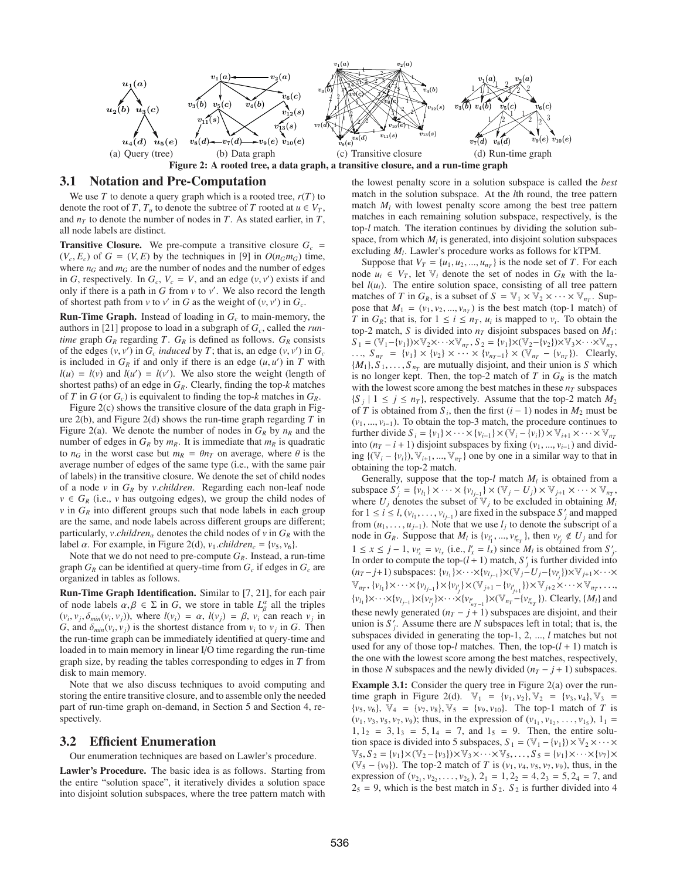

## 3.1 Notation and Pre-Computation

We use  $T$  to denote a query graph which is a rooted tree,  $r(T)$  to denote the root of *T*,  $T_u$  to denote the subtree of *T* rooted at  $u \in V_T$ , and  $n<sub>T</sub>$  to denote the number of nodes in *T*. As stated earlier, in *T*, all node labels are distinct.

**Transitive Closure.** We pre-compute a transitive closure  $G_c$  =  $(V_c, E_c)$  of  $G = (V, E)$  by the techniques in [9] in  $O(n_G m_G)$  time, where  $n_G$  and  $m_G$  are the number of nodes and the number of edges in *G*, respectively. In  $G_c$ ,  $V_c = V$ , and an edge  $(v, v')$  exists if and only if there is a path in  $G$  from  $v$  to  $v'$ . We also record the length of shortest path from  $v$  to  $v'$  in *G* as the weight of  $(v, v')$  in  $G_c$ .

Run-Time Graph. Instead of loading in *Gc* to main-memory, the authors in [21] propose to load in a subgraph of  $G_c$ , called the *runtime* graph  $G_R$  regarding *T*.  $G_R$  is defined as follows.  $G_R$  consists of the edges  $(v, v')$  in  $G_c$  *induced* by  $T$ ; that is, an edge  $(v, v')$  in  $G_c$ is included in  $G_R$  if and only if there is an edge  $(u, u')$  in  $T$  with  $l(u) = l(v)$  and  $l(u') = l(v')$ . We also store the weight (length of shortest paths) of an edge in *GR*. Clearly, finding the top-*k* matches of *T* in *G* (or  $G_c$ ) is equivalent to finding the top-*k* matches in  $G_R$ .

Figure 2(c) shows the transitive closure of the data graph in Figure 2(b), and Figure 2(d) shows the run-time graph regarding *T* in Figure 2(a). We denote the number of nodes in  $G_R$  by  $n_R$  and the number of edges in  $G_R$  by  $m_R$ . It is immediate that  $m_R$  is quadratic to  $n_G$  in the worst case but  $m_R = \theta n_T$  on average, where  $\theta$  is the average number of edges of the same type (i.e., with the same pair of labels) in the transitive closure. We denote the set of child nodes of a node *v* in *GR* by *v*.*children*. Regarding each non-leaf node  $v \in G_R$  (i.e., *v* has outgoing edges), we group the child nodes of  $\nu$  in  $G_R$  into different groups such that node labels in each group are the same, and node labels across different groups are different; particularly, *v.children*<sub>α</sub> denotes the child nodes of *v* in  $G_R$  with the label  $\alpha$ . For example, in Figure 2(d),  $v_1$ *children<sub>c</sub>* = { $v_5$ ,  $v_6$ }.

Note that we do not need to pre-compute  $G_R$ . Instead, a run-time graph  $G_R$  can be identified at query-time from  $G_c$  if edges in  $G_c$  are organized in tables as follows.

Run-Time Graph Identification. Similar to [7, 21], for each pair of node labels  $\alpha, \beta \in \Sigma$  in *G*, we store in table  $L^{\alpha}_{\beta}$  all the triples  $(v_i, v_j, \delta_{min}(v_i, v_j))$ , where  $l(v_i) = \alpha$ ,  $l(v_j) = \beta$ ,  $v_i$  can reach  $v_j$  in *G*, and  $\delta_{min}(v_i, v_j)$  is the shortest distance from  $v_i$  to  $v_j$  in *G*. Then the run-time graph can be immediately identified at query-time and loaded in to main memory in linear I/O time regarding the run-time graph size, by reading the tables corresponding to edges in *T* from disk to main memory.

Note that we also discuss techniques to avoid computing and storing the entire transitive closure, and to assemble only the needed part of run-time graph on-demand, in Section 5 and Section 4, respectively.

## 3.2 Efficient Enumeration

Our enumeration techniques are based on Lawler's procedure.

Lawler's Procedure. The basic idea is as follows. Starting from the entire "solution space", it iteratively divides a solution space into disjoint solution subspaces, where the tree pattern match with the lowest penalty score in a solution subspace is called the *best* match in the solution subspace. At the *l*th round, the tree pattern match  $M_l$  with lowest penalty score among the best tree pattern matches in each remaining solution subspace, respectively, is the top-*l* match. The iteration continues by dividing the solution subspace, from which  $M_l$  is generated, into disjoint solution subspaces excluding  $M_l$ . Lawler's procedure works as follows for kTPM.

Suppose that  $V_T = \{u_1, u_2, ..., u_{n_T}\}\$ is the node set of *T*. For each node  $u_i \in V_T$ , let  $V_i$  denote the set of nodes in  $G_R$  with the label  $l(u_i)$ . The entire solution space, consisting of all tree pattern matches of *T* in  $G_R$ , is a subset of  $S = \mathbb{V}_1 \times \mathbb{V}_2 \times \cdots \times \mathbb{V}_{n_T}$ . Suppose that  $M_1 = (v_1, v_2, ..., v_{n_T})$  is the best match (top-1 match) of *T* in  $G_R$ ; that is, for  $1 \le i \le n_T$ ,  $u_i$  is mapped to  $v_i$ . To obtain the top-2 match, *S* is divided into  $n<sub>T</sub>$  disjoint subspaces based on  $M<sub>1</sub>$ :  $S_1 = (\mathbb{V}_1 - \{v_1\}) \times \mathbb{V}_2 \times \cdots \times \mathbb{V}_{n_T}, S_2 = \{v_1\} \times (\mathbb{V}_2 - \{v_2\}) \times \mathbb{V}_3 \times \cdots \times \mathbb{V}_{n_T},$ ...,  $S_{n_T} = \{v_1\} \times \{v_2\} \times \cdots \times \{v_{n_T-1}\} \times (\mathbb{V}_{n_T} - \{v_{n_T}\})$ . Clearly,  ${M_1}, S_1, \ldots, S_{n_T}$  are mutually disjoint, and their union is *S* which is no longer kept. Then, the top-2 match of  $T$  in  $G_R$  is the match with the lowest score among the best matches in these  $n<sub>T</sub>$  subspaces  ${S_i | 1 \le j \le n_T}$ , respectively. Assume that the top-2 match  $M_2$ of *T* is obtained from  $S_i$ , then the first  $(i - 1)$  nodes in  $M_2$  must be (*v*1, ..., *vi*−1). To obtain the top-3 match, the procedure continues to further divide  $S_i = \{v_1\} \times \cdots \times \{v_{i-1}\} \times (\mathbb{V}_i - \{v_i\}) \times \mathbb{V}_{i+1} \times \cdots \times \mathbb{V}_{n_T}$ into ( $n_T$  − *i* + 1) disjoint subspaces by fixing ( $v_1$ , ...,  $v_{i-1}$ ) and dividing {( $\mathbb{V}_i$  − { $v_i$ }),  $\mathbb{V}_{i+1}$ , ...,  $\mathbb{V}_{n+1}$ } one by one in a similar way to that in obtaining the top-2 match.

Generally, suppose that the top- $l$  match  $M_l$  is obtained from a subspace  $S'_{j} = \{v_{l_1}\} \times \cdots \times \{v_{l_{j-1}}\} \times (\mathbb{V}_{j} - U_{j}) \times \mathbb{V}_{j+1} \times \cdots \times \mathbb{V}_{n_T}$ where  $U_j$  denotes the subset of  $V_j$  to be excluded in obtaining  $M_i$ for  $1 \le i \le l$ ,  $(v_{l_1}, \ldots, v_{l_{j-1}})$  are fixed in the subspace  $S'_j$  and mapped from  $(u_1, \ldots, u_{j-1})$ . Note that we use  $l_j$  to denote the subscript of a node in  $G_R$ . Suppose that  $M_l$  is  $\{v_{l'_1},...,v_{l'_{n_T}}\}$ , then  $v_{l'_j} \notin U_j$  and for 1 ≤ *x* ≤ *j* − 1,  $v_{l'_x} = v_{l_x}$  (i.e.,  $l'_x = l_x$ ) since  $M_l$  is obtained from  $S'_j$ . In order to compute the top- $(l + 1)$  match,  $S'_{j}$  is further divided into  $(n_T - j + 1)$  subspaces:  $\{v_{l_1}\}\times\cdots\times\{v_{l_{j-1}}\}\times(\mathbb{V}_j - U_j - \{v_{l'_j}\})\times\mathbb{V}_{j+1}\times\cdots\times\}$  $\mathbb{V}_{n_T}$ ,  $\{v_{l_1}\}\times\cdots\times\{v_{l_{j-1}}\}\times\{v_{l'_j}\}\times(\mathbb{V}_{j+1}-\{v_{l'_{j+1}}\})\times\mathbb{V}_{j+2}\times\cdots\times\mathbb{V}_{n_T},\ldots,$  $\{v_{l_1}\}\times\cdots\times\{v_{l_{j-1}}\}\times\{v_{l'_j}\}\times\cdots\times\{v_{l'_{n_T-1}}\}\times(\mathbb{V}_{n_T}-\{v_{l'_{n_T}}\})$ . Clearly,  $\{M_l\}$  and these newly generated  $(n_T - j + 1)$  subspaces are disjoint, and their union is  $S'_{j}$ . Assume there are *N* subspaces left in total; that is, the subspaces divided in generating the top-1, 2, ..., *l* matches but not used for any of those top- $l$  matches. Then, the top- $(l + 1)$  match is the one with the lowest score among the best matches, respectively, in those *N* subspaces and the newly divided  $(n<sub>T</sub> - j + 1)$  subspaces.

**Example 3.1:** Consider the query tree in Figure 2(a) over the runtime graph in Figure 2(d).  $\mathbb{V}_1 = \{v_1, v_2\}, \mathbb{V}_2 = \{v_3, v_4\}, \mathbb{V}_3 =$  $\{v_5, v_6\}, \ \mathbb{V}_4 = \{v_7, v_8\}, \ \mathbb{V}_5 = \{v_9, v_{10}\}.$  The top-1 match of *T* is  $(v_1, v_3, v_5, v_7, v_9)$ ; thus, in the expression of  $(v_{1_1}, v_{1_2}, \ldots, v_{1_5})$ ,  $1_1 =$  $1, 1_2 = 3, 1_3 = 5, 1_4 = 7,$  and  $1_5 = 9$ . Then, the entire solution space is divided into 5 subspaces,  $S_1 = (\mathbb{V}_1 - \{v_1\}) \times \mathbb{V}_2 \times \cdots \times$  $\mathbb{V}_5$ ,  $S_2 = \{v_1\} \times (\mathbb{V}_2 - \{v_3\}) \times \mathbb{V}_3 \times \cdots \times \mathbb{V}_5, \ldots, S_5 = \{v_1\} \times \cdots \times \{v_7\} \times$ (V<sup>5</sup> − {*v*9}). The top-2 match of *T* is (*v*1, *v*4, *v*5, *v*7, *v*9), thus, in the expression of  $(v_{2_1}, v_{2_2}, \ldots, v_{2_5})$ ,  $2_1 = 1, 2_2 = 4, 2_3 = 5, 2_4 = 7$ , and  $2<sub>5</sub> = 9$ , which is the best match in  $S_2$ .  $S_2$  is further divided into 4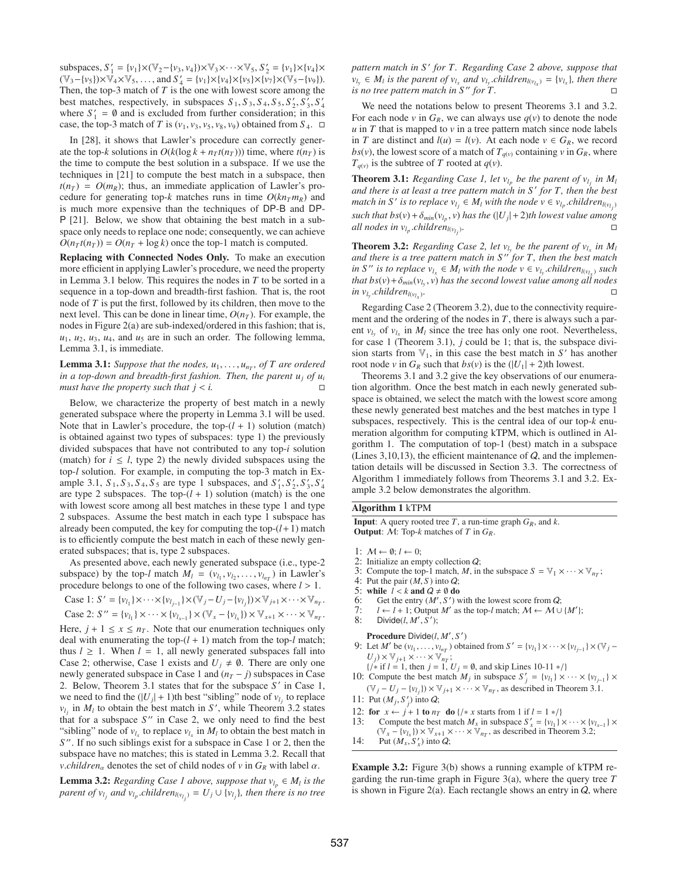subspaces,  $S'_1 = {v_1} \times (\mathbb{V}_2 - {v_3, v_4}) \times \mathbb{V}_3 \times \cdots \times \mathbb{V}_5, S'_2 = {v_1} \times {v_4} \times$  $(\mathbb{V}_3 - \{v_5\}) \times \mathbb{V}_4 \times \mathbb{V}_5, \dots$ , and  $S'_4 = \{v_1\} \times \{v_4\} \times \{v_5\} \times \{\tilde{v_7}\} \times (\mathbb{V}_5 - \{v_9\}).$ Then, the top-3 match of *T* is the one with lowest score among the best matches, respectively, in subspaces  $S_1$ ,  $S_3$ ,  $S_4$ ,  $S_5$ ,  $S'_2$ ,  $S'_3$ ,  $S'_4$ where  $S'_1 = \emptyset$  and is excluded from further consideration; in this case, the top-3 match of *T* is  $(v_1, v_3, v_5, v_8, v_9)$  obtained from  $S_4$ .  $\Box$ 

In [28], it shows that Lawler's procedure can correctly generate the top-*k* solutions in  $O(k(\log k + n_T t(n_T)))$  time, where  $t(n_T)$  is the time to compute the best solution in a subspace. If we use the techniques in [21] to compute the best match in a subspace, then  $t(n_T) = O(m_R)$ ; thus, an immediate application of Lawler's procedure for generating top-*k* matches runs in time  $O(kn<sub>T</sub>m<sub>R</sub>)$  and is much more expensive than the techniques of DP-B and DP-P [21]. Below, we show that obtaining the best match in a subspace only needs to replace one node; consequently, we can achieve  $O(n_T t(n_T)) = O(n_T + \log k)$  once the top-1 match is computed.

Replacing with Connected Nodes Only. To make an execution more efficient in applying Lawler's procedure, we need the property in Lemma 3.1 below. This requires the nodes in *T* to be sorted in a sequence in a top-down and breadth-first fashion. That is, the root node of *T* is put the first, followed by its children, then move to the next level. This can be done in linear time,  $O(n_T)$ . For example, the nodes in Figure 2(a) are sub-indexed/ordered in this fashion; that is,  $u_1, u_2, u_3, u_4$ , and  $u_5$  are in such an order. The following lemma, Lemma 3.1, is immediate.

**Lemma 3.1:** *Suppose that the nodes,*  $u_1, \ldots, u_{n_T}$ , *of T* are ordered *in a top-down and breadth-first fashion. Then, the parent uj of ui must have the property such that*  $j < i$ *.* 

Below, we characterize the property of best match in a newly generated subspace where the property in Lemma 3.1 will be used. Note that in Lawler's procedure, the top- $(l + 1)$  solution (match) is obtained against two types of subspaces: type 1) the previously divided subspaces that have not contributed to any top-*i* solution (match) for  $i \leq l$ , type 2) the newly divided subspaces using the top-*l* solution. For example, in computing the top-3 match in Example 3.1,  $S_1$ ,  $S_3$ ,  $S_4$ ,  $S_5$  are type 1 subspaces, and  $S'_1$ ,  $S'_2$ ,  $S'_3$ ,  $S'_4$ are type 2 subspaces. The top- $(l + 1)$  solution (match) is the one with lowest score among all best matches in these type 1 and type 2 subspaces. Assume the best match in each type 1 subspace has already been computed, the key for computing the top- $(l+1)$  match is to efficiently compute the best match in each of these newly generated subspaces; that is, type 2 subspaces.

As presented above, each newly generated subspace (i.e., type-2 subspace) by the top-*l* match  $M_l = (v_{l_1}, v_{l_2}, \dots, v_{l_{n_T}})$  in Lawler's procedure belongs to one of the following two cases, where *l* > 1.

Case 1: *S*' = {*v*<sub>*l*1</sub></sub>} × · · · × {*v*<sub>*l<sub>j</sub>*−1</sub>} × ( $\mathbb{V}_j$ −*U<sub>j</sub>*−{*v*<sub>*l<sub>j</sub>*</sub>}) ×  $\mathbb{V}_{j+1}$  × · · · ×  $\mathbb{V}_{n_T}$ .

Case 2: *S* " = { $v_{l_1}$ } × ⋅ ⋅ × { $v_{l_{x-1}}$ } × ( $\mathbb{V}_x$  − { $v_{l_x}$ }) ×  $\mathbb{V}_{x+1}$  × ⋅ ⋅ ×  $\mathbb{V}_{n_T}$ . Here,  $j + 1 \le x \le n<sub>T</sub>$ . Note that our enumeration techniques only deal with enumerating the top- $(l + 1)$  match from the top- $l$  match; thus  $l \geq 1$ . When  $l = 1$ , all newly generated subspaces fall into Case 2; otherwise, Case 1 exists and  $U_i \neq \emptyset$ . There are only one newly generated subspace in Case 1 and  $(n_T - j)$  subspaces in Case 2. Below, Theorem 3.1 states that for the subspace S' in Case 1, we need to find the  $(|U_j| + 1)$ th best "sibling" node of  $v_{l_j}$  to replace  $v_{l_j}$  in  $M_l$  to obtain the best match in *S'*, while Theorem 3.2 states that for a subspace  $S''$  in Case 2, we only need to find the best "sibling" node of  $v_{l_x}$  to replace  $v_{l_x}$  in  $M_l$  to obtain the best match in *S* . If no such siblings exist for a subspace in Case 1 or 2, then the subspace have no matches; this is stated in Lemma 3.2. Recall that *v*.*children*<sub>α</sub> denotes the set of child nodes of *v* in  $G_R$  with label  $\alpha$ .

**Lemma 3.2:** *Regarding Case 1 above, suppose that*  $v_{l_p} \in M_l$  *is the parent of*  $v_{l_j}$  *and*  $v_{l_p}$ *.children*<sub> $l(v_{l_j})$ </sub> =  $U_j \cup \{v_{l_j}\}$ *, then there is no tree* 

*pattern match in S for T. Regarding Case 2 above, suppose that v*<sub>*ly*</sub> ∈ *M*<sub>*l*</sub> *is the parent of v*<sub>*lx</sub> and v*<sub>*l<sub>y</sub></sub>. <i>children*<sub>*l*(*v*<sub>*lx</sub>*) = {*v*<sub>*lx</sub>*}*, then there*</sub></sub></sub></sub></sub> *is no tree pattern match in S" for T.* 

We need the notations below to present Theorems 3.1 and 3.2. For each node *v* in  $G_R$ , we can always use  $q(v)$  to denote the node  *in*  $*T*$  *that is mapped to*  $*v*$  *in a tree pattern match since node labels* in *T* are distinct and  $l(u) = l(v)$ . At each node  $v \in G_R$ , we record  $bs(v)$ , the lowest score of a match of  $T_{q(v)}$  containing *v* in  $G_R$ , where  $T_{q(v)}$  is the subtree of *T* rooted at  $q(v)$ .

**Theorem 3.1:** *Regarding Case 1, let*  $v_{l_p}$  *be the parent of*  $v_{l_j}$  *in*  $M_l$ *and there is at least a tree pattern match in S for T, then the best match in S' is to replace*  $v_{l_j} \in M_l$  *with the node*  $v \in v_{l_p}$ *.children*<sub> $l(v_{l_j})$ </sub> *such that bs*(*v*) +  $\delta_{min}(v_{l_p}, v)$  *has the* (|U<sub>j</sub>| + 2)*th lowest value among all nodes in*  $v_{l_p}$ *.children*<sub> $l(v_l)$ </sub>*.* )*.* -

**Theorem 3.2:** *Regarding Case 2, let*  $v_{l_x}$  *be the parent of*  $v_{l_x}$  *in*  $M_l$ *and there is a tree pattern match in S for T, then the best match in S*  $'$  *is to replace*  $v_{l_x} \in M_l$  *with the node*  $v \in v_{l_x}$  *children*<sub> $l(v_{l_x})$ </sub> *such that bs*( $v$ ) +  $\delta_{min}(v_l, v)$  *has the second lowest value among all nodes in*  $v_{l_v}$ *.children*<sub> $l(v_{l_v})$ *.*</sub>

Regarding Case 2 (Theorem 3.2), due to the connectivity requirement and the ordering of the nodes in *T*, there is always such a parent  $v_{l_v}$  of  $v_{l_x}$  in  $M_l$  since the tree has only one root. Nevertheless, for case 1 (Theorem 3.1), *j* could be 1; that is, the subspace division starts from  $V_1$ , in this case the best match in *S'* has another root node *v* in  $G_R$  such that  $bs(v)$  is the  $(|U_1| + 2)$ th lowest.

Theorems 3.1 and 3.2 give the key observations of our enumeration algorithm. Once the best match in each newly generated subspace is obtained, we select the match with the lowest score among these newly generated best matches and the best matches in type 1 subspaces, respectively. This is the central idea of our top-*k* enumeration algorithm for computing kTPM, which is outlined in Algorithm 1. The computation of top-1 (best) match in a subspace (Lines 3,10,13), the efficient maintenance of  $Q$ , and the implementation details will be discussed in Section 3.3. The correctness of Algorithm 1 immediately follows from Theorems 3.1 and 3.2. Example 3.2 below demonstrates the algorithm.

#### Algorithm 1 kTPM

**Input:** A query rooted tree *T*, a run-time graph  $G_R$ , and  $k$ . Output: M: Top-*k* matches of *T* in *GR*.

- 1:  $M \leftarrow \emptyset$ ;  $l \leftarrow 0$ ;
- 2: Initialize an empty collection Q;
- 3: Compute the top-1 match, *M*, in the subspace  $S = \mathbb{V}_1 \times \cdots \times \mathbb{V}_{n_T}$ ;
- 4: Put the pair  $(M, S)$  into  $Q$ ;
- 5: while  $l < k$  and  $Q \neq \emptyset$  do
- 6: Get the entry  $(M', S')$  with the lowest score from  $Q$ ;
- 7:  $l \leftarrow l + 1$ ; Output *M'* as the top-*l* match;  $M \leftarrow M \cup \{M'\}$ ; 8: Divide( $l, M', S'$ );

Procedure Divide(*l*, *M* , *S* )

- 9: Let *M'* be  $(v_{l_1}, \ldots, v_{l_{n_T}})$  obtained from  $S' = \{v_{l_1}\} \times \cdots \times \{v_{l_{j-1}}\} \times (\mathbb{V}_j U_j$ )  $\times$   $\mathbb{V}_{j+1}$   $\times \cdots \times \mathbb{V}_{n_T}$ ;
- {/∗ if *l* = 1, then *j* = 1, *Uj* = ∅, and skip Lines 10-11 ∗/} 10: Compute the best match *M<sub>j</sub>* in subspace  $S'_{j} = \{v_{l_1}\} \times \cdots \times \{v_{l_{j-1}}\} \times$
- $(\mathbb{V}_j U_j \{v_{l_j}\}) \times \mathbb{V}_{j+1} \times \cdots \times \mathbb{V}_{n_T}$ , as described in Theorem 3.1.
- 11: Put  $(M_j, S'_j)$  into Q;
- 12: for  $x \leftarrow j + 1$  to  $n_T$  do {/\* *x* starts from 1 if  $l = 1$  \*/}<br>13: Compute the best match  $M_x$  in subspace  $S'_x = \{v_{l_1}\}\$
- 13: Compute the best match  $M_x$  in subspace  $S'_x = \{v_{l_1}\}\times \cdots \times \{v_{l_{x-1}}\}\times$  $(\mathbb{V}_x - {\{v_{l_x}\}}) \times \mathbb{V}_{x+1} \times \cdots \times \mathbb{V}_{n_T}$ , as described in Theorem 3.2;
- 14: Put  $(M_x, S'_x)$  into Q;

Example 3.2: Figure 3(b) shows a running example of kTPM regarding the run-time graph in Figure 3(a), where the query tree *T* is shown in Figure 2(a). Each rectangle shows an entry in  $Q$ , where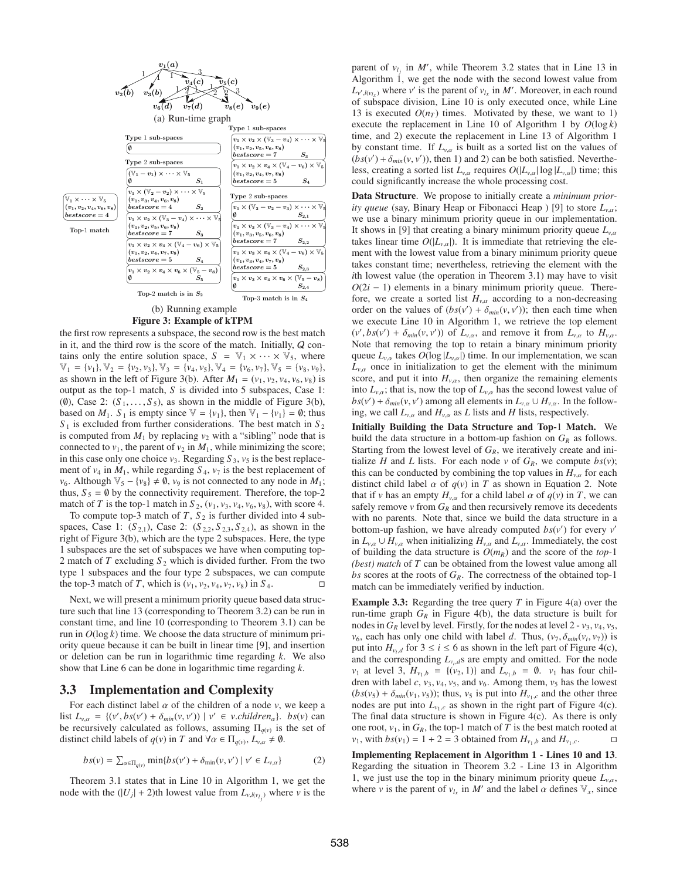

## (b) Running example Figure 3: Example of kTPM

the first row represents a subspace, the second row is the best match in it, and the third row is the score of the match. Initially,  $Q$  contains only the entire solution space,  $S = \mathbb{V}_1 \times \cdots \times \mathbb{V}_5$ , where  $\mathbb{V}_1 = \{v_1\}, \mathbb{V}_2 = \{v_2, v_3\}, \mathbb{V}_3 = \{v_4, v_5\}, \mathbb{V}_4 = \{v_6, v_7\}, \mathbb{V}_5 = \{v_8, v_9\},\$ as shown in the left of Figure 3(b). After  $M_1 = (v_1, v_2, v_4, v_6, v_8)$  is output as the top-1 match, *S* is divided into 5 subspaces, Case 1: (0), Case 2:  $(S_1, \ldots, S_5)$ , as shown in the middle of Figure 3(b), based on  $M_1$ .  $S_1$  is empty since  $\mathbb{V} = \{v_1\}$ , then  $\mathbb{V}_1 - \{v_1\} = \emptyset$ ; thus  $S_1$  is excluded from further considerations. The best match in  $S_2$ is computed from  $M_1$  by replacing  $v_2$  with a "sibling" node that is connected to  $v_1$ , the parent of  $v_2$  in  $M_1$ , while minimizing the score; in this case only one choice  $v_3$ . Regarding  $S_3$ ,  $v_5$  is the best replacement of  $v_4$  in  $M_1$ , while regarding  $S_4$ ,  $v_7$  is the best replacement of *v*<sub>6</sub>. Although  $\mathbb{V}_5 - \{v_8\} \neq \emptyset$ , *v*<sub>9</sub> is not connected to any node in *M*<sub>1</sub>; thus,  $S_5 = \emptyset$  by the connectivity requirement. Therefore, the top-2 match of *T* is the top-1 match in  $S_2$ ,  $(v_1, v_3, v_4, v_6, v_8)$ , with score 4.

To compute top-3 match of  $T$ ,  $S_2$  is further divided into 4 subspaces, Case 1:  $(S_{2,1})$ , Case 2:  $(S_{2,2}, S_{2,3}, S_{2,4})$ , as shown in the right of Figure 3(b), which are the type 2 subspaces. Here, the type 1 subspaces are the set of subspaces we have when computing top-2 match of *T* excluding *S* <sup>2</sup> which is divided further. From the two type 1 subspaces and the four type 2 subspaces, we can compute the top-3 match of *T*, which is  $(v_1, v_2, v_4, v_7, v_8)$  in  $S_4$ .

Next, we will present a minimum priority queue based data structure such that line 13 (corresponding to Theorem 3.2) can be run in constant time, and line 10 (corresponding to Theorem 3.1) can be run in *O*(log *k*) time. We choose the data structure of minimum priority queue because it can be built in linear time [9], and insertion or deletion can be run in logarithmic time regarding *k*. We also show that Line 6 can be done in logarithmic time regarding *k*.

## 3.3 Implementation and Complexity

For each distinct label  $\alpha$  of the children of a node  $\nu$ , we keep a list  $L_{v,\alpha} = \{ (v', bs(v') + \delta_{min}(v, v')) \mid v' \in v. \text{children}_{\alpha} \}.$  *bs*(*v*) can be recursively calculated as follows, assuming  $\Pi_{q(v)}$  is the set of distinct child labels of  $q(v)$  in *T* and  $\forall \alpha \in \Pi_{q(v)}$ ,  $L_{v,\alpha} \neq \emptyset$ .

$$
bs(v) = \sum_{\alpha \in \Pi_{q(v)}} \min\{bs(v') + \delta_{\min}(v, v') \mid v' \in L_{v, \alpha}\}
$$
 (2)

Theorem 3.1 states that in Line 10 in Algorithm 1, we get the node with the  $(|U_j| + 2)$ th lowest value from  $L_{\nu,l(\nu_{l_j})}$  where  $\nu$  is the

parent of  $v_{l_j}$  in  $M'$ , while Theorem 3.2 states that in Line 13 in Algorithm 1, we get the node with the second lowest value from  $L_{v',l(v_{l_x})}$  where  $v'$  is the parent of  $v_{l_x}$  in *M*'. Moreover, in each round of subspace division, Line 10 is only executed once, while Line 13 is executed  $O(n_T)$  times. Motivated by these, we want to 1) execute the replacement in Line 10 of Algorithm 1 by  $O(\log k)$ time, and 2) execute the replacement in Line 13 of Algorithm 1 by constant time. If  $L_{v,\alpha}$  is built as a sorted list on the values of  $(bs(v') + \delta_{min}(v, v'))$ , then 1) and 2) can be both satisfied. Nevertheless, creating a sorted list  $L_{v,\alpha}$  requires  $O(|L_{v,\alpha}| \log |L_{v,\alpha}|)$  time; this could significantly increase the whole processing cost.

Data Structure. We propose to initially create a *minimum priority queue* (say, Binary Heap or Fibonacci Heap ) [9] to store *Lv*,α; we use a binary minimum priority queue in our implementation. It shows in [9] that creating a binary minimum priority queue  $L_{v,\alpha}$ takes linear time  $O(|L_{v,\alpha}|)$ . It is immediate that retrieving the element with the lowest value from a binary minimum priority queue takes constant time; nevertheless, retrieving the element with the *i*th lowest value (the operation in Theorem 3.1) may have to visit  $O(2i - 1)$  elements in a binary minimum priority queue. Therefore, we create a sorted list  $H_{v,\alpha}$  according to a non-decreasing order on the values of  $(bs(v') + \delta_{min}(v, v'))$ ; then each time when we execute Line 10 in Algorithm 1, we retrieve the top element  $(v', bs(v') + \delta_{min}(v, v'))$  of  $L_{v,\alpha}$ , and remove it from  $L_{v,\alpha}$  to  $H_{v,\alpha}$ . Note that removing the top to retain a binary minimum priority queue  $L_{v,\alpha}$  takes  $O(\log |L_{v,\alpha}|)$  time. In our implementation, we scan  $L_{v,\alpha}$  once in initialization to get the element with the minimum score, and put it into  $H_{v,\alpha}$ , then organize the remaining elements into  $L_{v,\alpha}$ ; that is, now the top of  $L_{v,\alpha}$  has the second lowest value of  $bs(v') + \delta_{min}(v, v')$  among all elements in  $L_{v,\alpha} \cup H_{v,\alpha}$ . In the following, we call  $L_{v,\alpha}$  and  $H_{v,\alpha}$  as *L* lists and *H* lists, respectively.

Initially Building the Data Structure and Top-1 Match. We build the data structure in a bottom-up fashion on  $G_R$  as follows. Starting from the lowest level of  $G_R$ , we iteratively create and initialize *H* and *L* lists. For each node *v* of  $G_R$ , we compute  $bs(v)$ ; this can be conducted by combining the top values in  $H_{v,\alpha}$  for each distinct child label  $\alpha$  of  $q(v)$  in *T* as shown in Equation 2. Note that if *v* has an empty  $H_{v,\alpha}$  for a child label  $\alpha$  of  $q(v)$  in *T*, we can safely remove  $\nu$  from  $G_R$  and then recursively remove its decedents with no parents. Note that, since we build the data structure in a bottom-up fashion, we have already computed  $bs(v')$  for every  $v'$ in  $L_{v,\alpha} \cup H_{v,\alpha}$  when initializing  $H_{v,\alpha}$  and  $L_{v,\alpha}$ . Immediately, the cost of building the data structure is  $O(m_R)$  and the score of the *top*-1 *(best) match* of *T* can be obtained from the lowest value among all *bs* scores at the roots of  $G_R$ . The correctness of the obtained top-1 match can be immediately verified by induction.

Example 3.3: Regarding the tree query *T* in Figure 4(a) over the run-time graph  $G_R$  in Figure 4(b), the data structure is built for nodes in  $G_R$  level by level. Firstly, for the nodes at level  $2 - v_3$ ,  $v_4$ ,  $v_5$ , *v*<sub>6</sub>, each has only one child with label *d*. Thus,  $(v_7, \delta_{min}(v_i, v_7))$  is put into  $H_{v_i,d}$  for  $3 \le i \le 6$  as shown in the left part of Figure 4(c), and the corresponding  $L_{v_i,d}$ s are empty and omitted. For the node *v*<sub>1</sub> at level 3,  $H_{v_1,b} = \{(v_2, 1)\}\$  and  $L_{v_1,b} = \emptyset$ . *v*<sub>1</sub> has four children with label  $c$ ,  $v_3$ ,  $v_4$ ,  $v_5$ , and  $v_6$ . Among them,  $v_5$  has the lowest  $(bs(v<sub>5</sub>) + \delta_{min}(v<sub>1</sub>, v<sub>5</sub>))$ ; thus,  $v<sub>5</sub>$  is put into  $H_{v<sub>1</sub>,c}$  and the other three nodes are put into  $L_{v_1,c}$  as shown in the right part of Figure 4(c). The final data structure is shown in Figure 4(c). As there is only one root,  $v_1$ , in  $G_R$ , the top-1 match of *T* is the best match rooted at *v*<sub>1</sub>, with  $bs(v_1) = 1 + 2 = 3$  obtained from  $H_{v_1,b}$  and  $H_{v_1,c}$ .

Implementing Replacement in Algorithm 1 - Lines 10 and 13. Regarding the situation in Theorem 3.2 - Line 13 in Algorithm 1, we just use the top in the binary minimum priority queue  $L_{v,\alpha}$ , where *v* is the parent of  $v_{l_x}$  in *M'* and the label  $\alpha$  defines  $V_x$ , since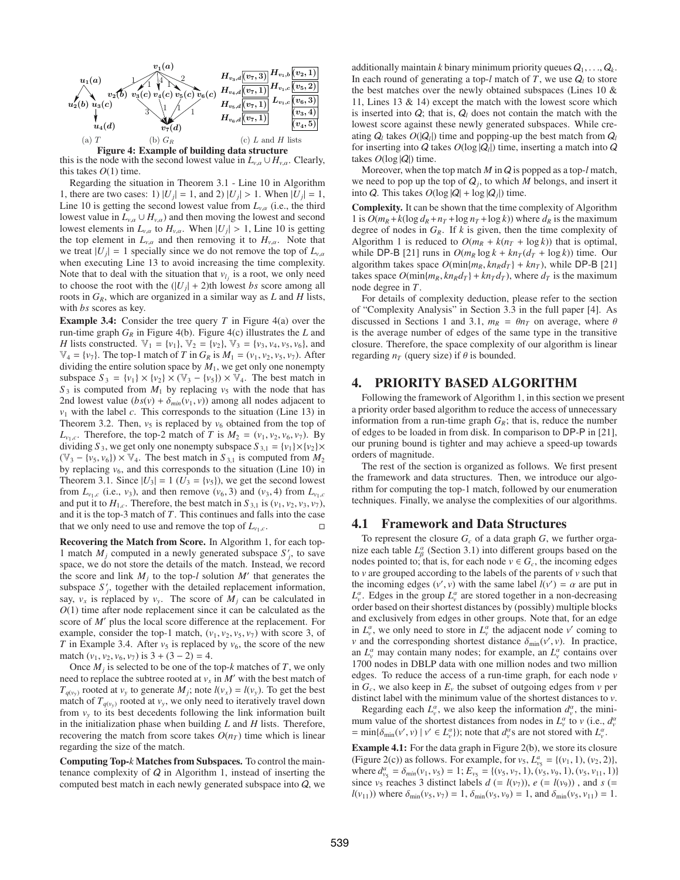

this is the node with the second lowest value in  $L_{v,\alpha} \cup H_{v,\alpha}$ . Clearly, this takes  $O(1)$  time.

Regarding the situation in Theorem 3.1 - Line 10 in Algorithm 1, there are two cases: 1)  $|U_j| = 1$ , and 2)  $|U_j| > 1$ . When  $|U_j| = 1$ , Line 10 is getting the second lowest value from  $L_{v, \alpha}$  (i.e., the third lowest value in  $L_{v,\alpha} \cup H_{v,\alpha}$ ) and then moving the lowest and second lowest elements in  $L_{v,\alpha}$  to  $H_{v,\alpha}$ . When  $|U_j| > 1$ , Line 10 is getting the top element in  $L_{v,\alpha}$  and then removing it to  $H_{v,\alpha}$ . Note that we treat  $|U_j| = 1$  specially since we do not remove the top of  $L_{v,\alpha}$ when executing Line 13 to avoid increasing the time complexity. Note that to deal with the situation that  $v_l$  is a root, we only need to choose the root with the  $(|U_j| + 2)$ th lowest *bs* score among all roots in  $G_R$ , which are organized in a similar way as  $L$  and  $H$  lists, with *bs* scores as key.

Example 3.4: Consider the tree query *T* in Figure 4(a) over the run-time graph  $G_R$  in Figure 4(b). Figure 4(c) illustrates the *L* and *H* lists constructed.  $\mathbb{V}_1 = \{v_1\}$ ,  $\mathbb{V}_2 = \{v_2\}$ ,  $\mathbb{V}_3 = \{v_3, v_4, v_5, v_6\}$ , and  $\mathbb{V}_4 = \{v_7\}$ . The top-1 match of *T* in  $G_R$  is  $M_1 = (v_1, v_2, v_5, v_7)$ . After dividing the entire solution space by  $M_1$ , we get only one nonempty subspace  $S_3 = \{v_1\} \times \{v_2\} \times (\mathbb{V}_3 - \{v_5\}) \times \mathbb{V}_4$ . The best match in  $S_3$  is computed from  $M_1$  by replacing  $v_5$  with the node that has 2nd lowest value  $(bs(v) + \delta_{min}(v_1, v))$  among all nodes adjacent to  $v_1$  with the label *c*. This corresponds to the situation (Line 13) in Theorem 3.2. Then,  $v_5$  is replaced by  $v_6$  obtained from the top of  $L_{v_1,c}$ . Therefore, the top-2 match of *T* is  $M_2 = (v_1, v_2, v_6, v_7)$ . By dividing *S*<sub>3</sub>, we get only one nonempty subspace  $S_{3,1} = \{v_1\} \times \{v_2\} \times$  $(\mathbb{V}_3 - \{v_5, v_6\}) \times \mathbb{V}_4$ . The best match in  $S_{3,1}$  is computed from  $M_2$ by replacing  $v_6$ , and this corresponds to the situation (Line 10) in Theorem 3.1. Since  $|U_3| = 1$  ( $U_3 = \{v_5\}$ ), we get the second lowest from  $L_{v_1,c}$  (i.e.,  $v_3$ ), and then remove  $(v_6, 3)$  and  $(v_3, 4)$  from  $L_{v_1,c}$ and put it to  $H_{1,c}$ . Therefore, the best match in  $S_{3,1}$  is  $(v_1, v_2, v_3, v_7)$ , and it is the top-3 match of *T*. This continues and falls into the case that we only need to use and remove the top of  $L_{v_1,c}$ .

Recovering the Match from Score. In Algorithm 1, for each top-1 match  $M_j$  computed in a newly generated subspace  $S'_j$ , to save space, we do not store the details of the match. Instead, we record the score and link  $M_i$  to the top-*l* solution  $M'$  that generates the subspace  $S'_{j}$ , together with the detailed replacement information, say,  $v_x$  is replaced by  $v_y$ . The score of  $M_j$  can be calculated in *O*(1) time after node replacement since it can be calculated as the score of *M'* plus the local score difference at the replacement. For example, consider the top-1 match,  $(v_1, v_2, v_5, v_7)$  with score 3, of *T* in Example 3.4. After  $v_5$  is replaced by  $v_6$ , the score of the new match  $(v_1, v_2, v_6, v_7)$  is  $3 + (3 - 2) = 4$ .

Once  $M_i$  is selected to be one of the top- $k$  matches of  $T$ , we only need to replace the subtree rooted at  $v_x$  in  $M'$  with the best match of  $T_{q(v_y)}$  rooted at  $v_y$  to generate  $M_j$ ; note  $l(v_x) = l(v_y)$ . To get the best match of  $T_{q(v_y)}$  rooted at  $v_y$ , we only need to iteratively travel down from  $v_y$  to its best decedents following the link information built in the initialization phase when building *L* and *H* lists. Therefore, recovering the match from score takes  $O(n_T)$  time which is linear regarding the size of the match.

Computing Top-*k* Matches from Subspaces. To control the maintenance complexity of  $Q$  in Algorithm 1, instead of inserting the computed best match in each newly generated subspace into Q, we additionally maintain *k* binary minimum priority queues  $Q_1, \ldots, Q_k$ . In each round of generating a top- $l$  match of  $T$ , we use  $Q_l$  to store the best matches over the newly obtained subspaces (Lines 10 & 11, Lines 13 & 14) except the match with the lowest score which is inserted into  $Q$ ; that is,  $Q_l$  does not contain the match with the lowest score against these newly generated subspaces. While creating  $Q_l$  takes  $O(|Q_l|)$  time and popping-up the best match from  $Q_l$ for inserting into  $Q$  takes  $O(\log |Q_i|)$  time, inserting a match into  $Q$ takes  $O(\log |Q|)$  time.

Moreover, when the top match *M* in Q is popped as a top-*l* match, we need to pop up the top of  $Q_i$ , to which *M* belongs, and insert it into *Q*. This takes  $O(\log |Q| + \log |Q_i|)$  time.

Complexity. It can be shown that the time complexity of Algorithm 1 is  $O(m_R + k(\log d_R + n_T + \log n_T + \log k))$  where  $d_R$  is the maximum degree of nodes in  $G_R$ . If *k* is given, then the time complexity of Algorithm 1 is reduced to  $O(m_R + k(n_T + \log k))$  that is optimal, while DP-B [21] runs in  $O(m_R \log k + kn_T(d_T + \log k))$  time. Our algorithm takes space  $O(\min\{m_R, kn_Rd_T\} + kn_T)$ , while DP-B [21] takes space  $O(\min\{m_R, kn_Rd_T\} + kn_Td_T)$ , where  $d_T$  is the maximum node degree in *T*.

For details of complexity deduction, please refer to the section of "Complexity Analysis" in Section 3.3 in the full paper [4]. As discussed in Sections 1 and 3.1,  $m_R = \theta n_T$  on average, where  $\theta$ is the average number of edges of the same type in the transitive closure. Therefore, the space complexity of our algorithm is linear regarding  $n<sub>T</sub>$  (query size) if  $\theta$  is bounded.

## 4. PRIORITY BASED ALGORITHM

Following the framework of Algorithm 1, in this section we present a priority order based algorithm to reduce the access of unnecessary information from a run-time graph  $G_R$ ; that is, reduce the number of edges to be loaded in from disk. In comparison to DP-P in [21], our pruning bound is tighter and may achieve a speed-up towards orders of magnitude.

The rest of the section is organized as follows. We first present the framework and data structures. Then, we introduce our algorithm for computing the top-1 match, followed by our enumeration techniques. Finally, we analyse the complexities of our algorithms.

## 4.1 Framework and Data Structures

To represent the closure  $G_c$  of a data graph  $G$ , we further organize each table  $L^{\alpha}_{\beta}$  (Section 3.1) into different groups based on the nodes pointed to; that is, for each node  $v \in G_c$ , the incoming edges to *v* are grouped according to the labels of the parents of *v* such that the incoming edges  $(v', v)$  with the same label  $l(v') = \alpha$  are put in  $L_v^{\alpha}$ . Edges in the group  $L_v^{\alpha}$  are stored together in a non-decreasing order based on their shortest distances by (possibly) multiple blocks and exclusively from edges in other groups. Note that, for an edge in  $L_v^{\alpha}$ , we only need to store in  $L_v^{\alpha}$  the adjacent node *v*' coming to *v* and the corresponding shortest distance  $\delta_{\min}(v', v)$ . In practice, an  $L_v^{\alpha}$  may contain many nodes; for example, an  $L_v^{\alpha}$  contains over 1700 nodes in DBLP data with one million nodes and two million edges. To reduce the access of a run-time graph, for each node *v* in  $G_c$ , we also keep in  $E_v$  the subset of outgoing edges from  $v$  per distinct label with the minimum value of the shortest distances to *v*.

Regarding each  $L^{\alpha}_{\nu}$ , we also keep the information  $d^{\alpha}_{\nu}$ , the minimum value of the shortest distances from nodes in  $L_v^{\alpha}$  to *v* (i.e.,  $d_v^{\alpha}$ )  $=$  min{ $\delta_{\min}(v', v) \mid v' \in L_v^{\alpha}$ }); note that  $d_v^{\alpha}$ s are not stored with  $L_v^{\alpha}$ .

Example 4.1: For the data graph in Figure 2(b), we store its closure (Figure 2(c)) as follows. For example, for  $v_5$ ,  $L_{\nu_5}^a = \{(v_1, 1), (v_2, 2)\},$ where  $d_{v_5}^a = \delta_{min}(v_1, v_5) = 1; E_{v_5} = \{(v_5, v_7, 1), (v_5, v_9, 1), (v_5, v_{11}, 1)\}\$ since  $v_5$  reaches 3 distinct labels  $d (= l(v_7))$ ,  $e (= l(v_9))$ , and  $s (=$  $l(v_{11})$ ) where  $\delta_{\min}(v_5, v_7) = 1$ ,  $\delta_{\min}(v_5, v_9) = 1$ , and  $\delta_{\min}(v_5, v_{11}) = 1$ .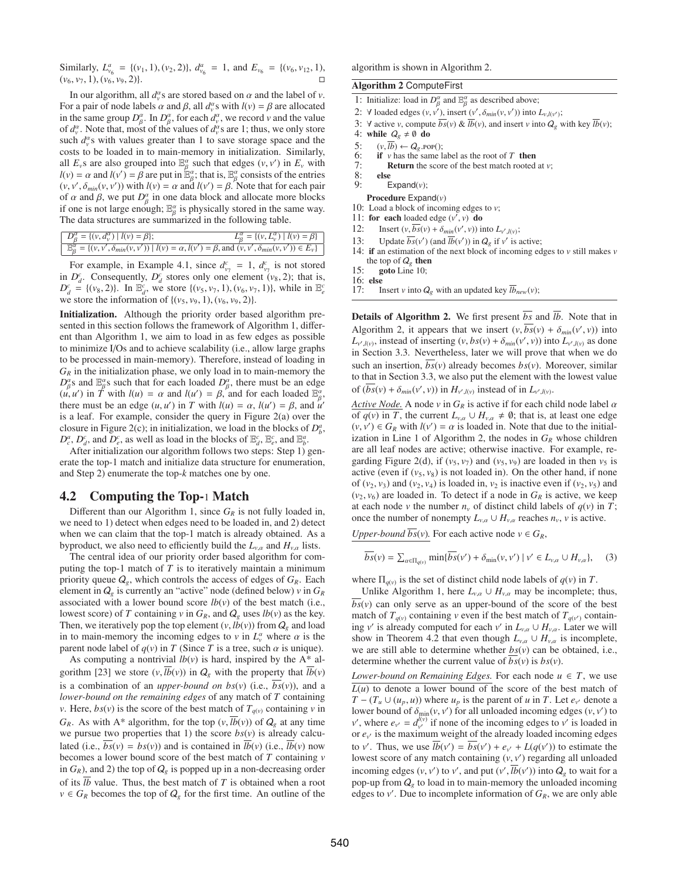Similarly,  $L_{\nu_6}^a = \{(\nu_1, 1), (\nu_2, 2)\}, d_{\nu_6}^a = 1$ , and  $E_{\nu_6} = \{(\nu_6, \nu_{12}, 1)\}$  $(v_6, v_7, 1), (v_6, v_9, 2)$ .

In our algorithm, all  $d_v^{\alpha}$  s are stored based on  $\alpha$  and the label of  $v$ . For a pair of node labels  $\alpha$  and  $\beta$ , all  $d_v^{\alpha}$ s with  $l(v) = \beta$  are allocated in the same group  $D^{\alpha}_{\beta}$ . In  $D^{\alpha}_{\beta}$ , for each  $d^{\alpha}_{\nu}$ , we record  $\nu$  and the value of  $d_v^{\alpha}$ . Note that, most of the values of  $d_v^{\alpha}$ s are 1; thus, we only store such  $d_v^{\alpha}$ s with values greater than 1 to save storage space and the costs to be loaded in to main-memory in initialization. Similarly, all  $E_v$ s are also grouped into  $\mathbb{E}_{\beta}^{\alpha}$  such that edges  $(v, v')$  in  $E_v$  with  $l(v) = \alpha$  and  $l(v') = \beta$  are put in  $\mathbb{E}_{\beta}^{\alpha}$ ; that is,  $\mathbb{E}_{\beta}^{\alpha}$  consists of the entries  $(v, v', \delta_{min}(v, v'))$  with  $l(v) = \alpha$  and  $l(v') = \beta$ . Note that for each pair of  $\alpha$  and  $\beta$ , we put  $D^{\alpha}_{\beta}$  in one data block and allocate more blocks if one is not large enough;  $\mathbb{E}_{\beta}^{\alpha}$  is physically stored in the same way. The data structures are summarized in the following table.

| $D_{\beta}^{\alpha} = \{ (v, d_{v}^{\alpha})   l(v) = \beta \};$ | $L_{\beta}^{\alpha} = \{ (v, L_{v}^{\alpha})   l(v) = \beta \}$                                                                                                 |
|------------------------------------------------------------------|-----------------------------------------------------------------------------------------------------------------------------------------------------------------|
|                                                                  | $\boxed{\mathbb{E}_{\beta}^{\alpha} = \{(v, v', \delta_{min}(v, v')) \mid l(v) = \alpha, l(v') = \beta, \text{ and } (v, v', \delta_{min}(v, v')) \in E_{v}\}}$ |

For example, in Example 4.1, since  $d_{\nu_7}^c = 1$ ,  $d_{\nu_7}^c$  is not stored in  $D_d^c$ . Consequently,  $D_d^c$  stores only one element ( $v_8$ , 2); that is,  $D_d^c = \{(v_8, 2)\}\$ . In  $\mathbb{E}_d^c$ , we store  $\{(v_5, v_7, 1), (v_6, v_7, 1)\}$ , while in  $\mathbb{E}_e^c$ we store the information of  $\{(v_5, v_9, 1), (v_6, v_9, 2)\}.$ 

Initialization. Although the priority order based algorithm presented in this section follows the framework of Algorithm 1, different than Algorithm 1, we aim to load in as few edges as possible to minimize I/Os and to achieve scalability (i.e., allow large graphs to be processed in main-memory). Therefore, instead of loading in  $G_R$  in the initialization phase, we only load in to main-memory the  $D_{\beta}^{\alpha}$ s and  $\mathbb{E}_{\beta}^{\alpha}$ s such that for each loaded  $D_{\beta}^{\alpha}$ , there must be an edge  $(u, u')$  in *T* with  $l(u) = \alpha$  and  $l(u') = \beta$ , and for each loaded  $\mathbb{E}_{\beta}^{\alpha}$ , there must be an edge  $(u, u')$  in *T* with  $l(u) = \alpha$ ,  $l(u') = \beta$ , and  $\tilde{u}'$ is a leaf. For example, consider the query in Figure 2(a) over the closure in Figure 2(c); in initialization, we load in the blocks of  $D_b^a$ ,  $D_c^a$ ,  $D_d^c$ , and  $D_e^c$ , as well as load in the blocks of  $\mathbb{E}_d^c$ ,  $\mathbb{E}_e^c$ , and  $\mathbb{E}_b^a$ .

After initialization our algorithm follows two steps: Step 1) generate the top-1 match and initialize data structure for enumeration, and Step 2) enumerate the top-*k* matches one by one.

## 4.2 Computing the Top-1 Match

Different than our Algorithm 1, since  $G_R$  is not fully loaded in, we need to 1) detect when edges need to be loaded in, and 2) detect when we can claim that the top-1 match is already obtained. As a byproduct, we also need to efficiently build the  $L_{v,\alpha}$  and  $H_{v,\alpha}$  lists.

The central idea of our priority order based algorithm for computing the top-1 match of *T* is to iteratively maintain a minimum priority queue  $Q_g$ , which controls the access of edges of  $G_R$ . Each element in  $Q_g$  is currently an "active" node (defined below)  $v$  in  $G_R$ associated with a lower bound score  $lb(v)$  of the best match (i.e., lowest score) of *T* containing *v* in  $G_R$ , and  $Q_g$  uses  $lb(v)$  as the key. Then, we iteratively pop the top element  $(v, lb(v))$  from  $Q_g$  and load in to main-memory the incoming edges to *v* in  $L_v^{\alpha}$  where  $\alpha$  is the parent node label of  $q(v)$  in *T* (Since *T* is a tree, such  $\alpha$  is unique).

As computing a nontrivial  $lb(v)$  is hard, inspired by the  $A^*$  algorithm [23] we store  $(v, \overline{lb}(v))$  in  $Q_g$  with the property that  $\overline{lb}(v)$ is a combination of an *upper-bound on bs(v)* (i.e.,  $\overline{bs}(v)$ ), and a *lower-bound on the remaining edges* of any match of *T* containing *v*. Here,  $bs(v)$  is the score of the best match of  $T_{q(v)}$  containing *v* in  $G_R$ . As with A\* algorithm, for the top  $(v, \overline{lb}(v))$  of  $Q_g$  at any time we pursue two properties that 1) the score  $bs(v)$  is already calculated (i.e.,  $\overline{bs}(v) = bs(v)$ ) and is contained in  $\overline{lb}(v)$  (i.e.,  $\overline{lb}(v)$ ) now becomes a lower bound score of the best match of *T* containing *v* in  $G_R$ ), and 2) the top of  $Q_g$  is popped up in a non-decreasing order of its  $\overline{lb}$  value. Thus, the best match of  $T$  is obtained when a root  $v \in G_R$  becomes the top of  $Q_g$  for the first time. An outline of the algorithm is shown in Algorithm 2.

## Algorithm 2 ComputeFirst

- 1: Initialize: load in  $D^{\alpha}_{\beta}$  and  $\mathbb{E}^{\alpha}_{\beta}$  as described above;
- 2:  $\forall$  loaded edges  $(v, v'),$  insert  $(v', \delta_{min}(v, v'))$  into  $L_{v, l(v')}$ ;
- 3: ∀ active *v*, compute  $\overline{bs}(v)$  &  $\overline{lb}(v)$ , and insert *v* into  $Q_g$  with key  $\overline{lb}(v)$ ;
- 4: while  $Q_g \neq \emptyset$  do
- 
- 5:  $(v, \overline{lb}) \leftarrow Q_g.\text{POP}$ ;<br>6: **if** *v* has the same l 6: if *v* has the same label as the root of *T* then  $7$ : **Return** the score of the hest match rooted
- 7: Return the score of the best match rooted at *v*;
- 8: else
- Expand( $v$ );
- Procedure Expand(*v*)
- 10: Load a block of incoming edges to *v*;
- 11: for each loaded edge  $(v', v)$  do
- 12: Insert  $(v, \overline{bs}(v) + \delta_{min}(v', v))$  into  $L_{v',l(v)}$ ;
- 13: Update  $\overline{bs}(v')$  (and  $\overline{lb}(v')$ ) in  $Q_g$  if  $v'$  is active;
- 14: if an estimation of the next block of incoming edges to *v* still makes *v* the top of  $Q_{\sigma}$  then

- 16: else<br>17:  $\frac{1}{1}$
- Insert *v* into  $Q_g$  with an updated key  $lb_{new}(v)$ ;

**Details of Algorithm 2.** We first present  $\overline{bs}$  and  $\overline{lb}$ . Note that in Algorithm 2, it appears that we insert  $(v, \overline{bs}(v) + \delta_{min}(v', v))$  into  $L_{v',l(v)}$ , instead of inserting  $(v, bs(v) + \delta_{min}(v', v))$  into  $L_{v',l(v)}$  as done in Section 3.3. Nevertheless, later we will prove that when we do such an insertion,  $\overline{bs}(v)$  already becomes  $bs(v)$ . Moreover, similar to that in Section 3.3, we also put the element with the lowest value of  $(\overline{bs}(v) + \delta_{min}(v', v))$  in  $H_{v',l(v)}$  instead of in  $L_{v',l(v)}$ .

*Active Node.* A node *v* in  $G_R$  is active if for each child node label  $\alpha$ of  $q(v)$  in *T*, the current  $L_{v,\alpha} \cup H_{v,\alpha} \neq \emptyset$ ; that is, at least one edge  $(v, v') \in G_R$  with  $l(v') = \alpha$  is loaded in. Note that due to the initialization in Line 1 of Algorithm 2, the nodes in  $G_R$  whose children are all leaf nodes are active; otherwise inactive. For example, regarding Figure 2(d), if  $(v_5, v_7)$  and  $(v_5, v_9)$  are loaded in then  $v_5$  is active (even if  $(v_5, v_8)$ ) is not loaded in). On the other hand, if none of  $(v_2, v_3)$  and  $(v_2, v_4)$  is loaded in,  $v_2$  is inactive even if  $(v_2, v_5)$  and  $(v_2, v_6)$  are loaded in. To detect if a node in  $G_R$  is active, we keep at each node *v* the number  $n_v$  of distinct child labels of  $q(v)$  in *T*; once the number of nonempty  $L_{v,\alpha} \cup H_{v,\alpha}$  reaches  $n_v$ , *v* is active.

*Upper-bound bs*(*v*). For each active node  $v \in G_R$ ,

$$
\overline{bs}(v) = \sum_{\alpha \in \Pi_{q(v)}} \min \{ \overline{bs}(v') + \delta_{\min}(v, v') \mid v' \in L_{v, \alpha} \cup H_{v, \alpha} \}, \quad (3)
$$

where  $\Pi_{q(v)}$  is the set of distinct child node labels of  $q(v)$  in  $T$ .

Unlike Algorithm 1, here  $L_{v,\alpha} \cup H_{v,\alpha}$  may be incomplete; thus,  $bs(v)$  can only serve as an upper-bound of the score of the best match of  $T_{q(v)}$  containing *v* even if the best match of  $T_{q(v')}$  containing *v'* is already computed for each *v'* in  $L_{v,\alpha} \cup H_{v,\alpha}$ . Later we will show in Theorem 4.2 that even though  $L_{v,\alpha} \cup H_{v,\alpha}$  is incomplete, we are still able to determine whether *bs*(*v*) can be obtained, i.e., determine whether the current value of  $\overline{bs}(v)$  is  $bs(v)$ .

*Lower-bound on Remaining Edges.* For each node  $u \in T$ , we use  $L(u)$  to denote a lower bound of the score of the best match of *T* − ( $T_u$  ∪ ( $u_p$ ,  $u$ )) where  $u_p$  is the parent of  $u$  in  $T$ . Let  $e_{v'}$  denote a lower bound of  $\delta_{\min}(v, v')$  for all unloaded incoming edges  $(v, v')$  to *v*, where  $e_{v'} = d_{v'}^{l(v)}$  if none of the incoming edges to *v* is loaded in or  $e_{v'}$  is the maximum weight of the already loaded incoming edges to *v'*. Thus, we use  $\overline{lb}(v') = \overline{bs}(v') + e_{v'} + L(q(v'))$  to estimate the lowest score of any match containing (*v*, *v* ) regarding all unloaded incoming edges  $(v, v')$  to  $v'$ , and put  $(v', \overline{lb}(v'))$  into  $Q_g$  to wait for a pop-up from  $Q_g$  to load in to main-memory the unloaded incoming edges to  $v'$ . Due to incomplete information of  $G_R$ , we are only able

<sup>15:</sup> goto Line 10;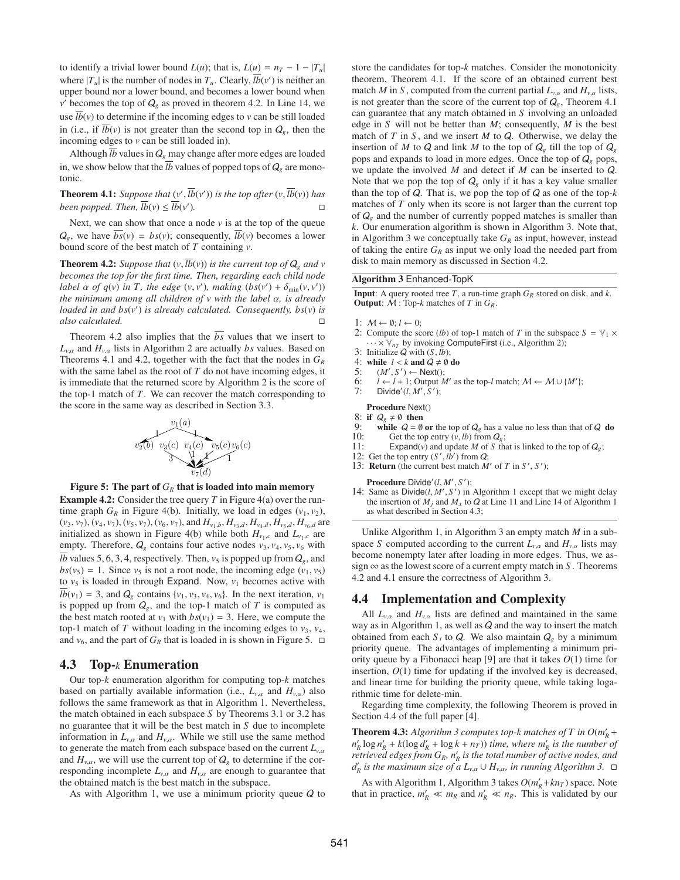to identify a trivial lower bound  $L(u)$ ; that is,  $L(u) = n_T - 1 - |T_u|$ where  $|T_u|$  is the number of nodes in  $T_u$ . Clearly,  $\overline{lb}(v')$  is neither an upper bound nor a lower bound, and becomes a lower bound when  $v'$  becomes the top of  $Q_g$  as proved in theorem 4.2. In Line 14, we use  $lb(v)$  to determine if the incoming edges to  $v$  can be still loaded in (i.e., if  $\overline{lb}(v)$  is not greater than the second top in  $Q_g$ , then the incoming edges to *v* can be still loaded in).

Although  $\overline{lb}$  values in  $Q_g$  may change after more edges are loaded in, we show below that the  $\overline{lb}$  values of popped tops of  $Q_{g}$  are monotonic.

**Theorem 4.1:** Suppose that  $(v', \overline{lb}(v'))$  is the top after  $(v, \overline{lb}(v))$  has *been popped. Then,*  $\overline{lb}(v) \le \overline{lb}(v')$ . )*.* -

Next, we can show that once a node  $\nu$  is at the top of the queue  $Q_g$ , we have  $bs(v) = bs(v)$ ; consequently,  $lb(v)$  becomes a lower bound score of the best match of *T* containing *v*.

**Theorem 4.2:** *Suppose that*  $(v, \overline{lb}(v))$  *is the current top of*  $Q_g$  *and*  $v$ *becomes the top for the first time. Then, regarding each child node label*  $\alpha$  *of*  $q(v)$  *in T*, *the edge*  $(v, v')$ *, making*  $(bs(v') + \delta_{\min}(v, v'))$ *the minimum among all children of v with the label* α*, is already loaded in and bs*(*v* ) *is already calculated. Consequently, bs*(*v*) *is also calculated.* -

Theorem 4.2 also implies that the  $\overline{bs}$  values that we insert to  $L_{v,\alpha}$  and  $H_{v,\alpha}$  lists in Algorithm 2 are actually *bs* values. Based on Theorems 4.1 and 4.2, together with the fact that the nodes in *GR* with the same label as the root of *T* do not have incoming edges, it is immediate that the returned score by Algorithm 2 is the score of the top-1 match of *T*. We can recover the match corresponding to the score in the same way as described in Section 3.3.



Figure 5: The part of  $G_R$  that is loaded into main memory

**Example 4.2:** Consider the tree query  $T$  in Figure 4(a) over the runtime graph  $G_R$  in Figure 4(b). Initially, we load in edges  $(v_1, v_2)$ ,  $(v_3, v_7)$ ,  $(v_4, v_7)$ ,  $(v_5, v_7)$ ,  $(v_6, v_7)$ , and  $H_{v_1,b}$ ,  $H_{v_3,d}$ ,  $H_{v_4,d}$ ,  $H_{v_5,d}$ ,  $H_{v_6,d}$  are initialized as shown in Figure 4(b) while both  $H_{v_1,c}$  and  $L_{v_1,c}$  are empty. Therefore,  $Q_g$  contains four active nodes  $v_3$ ,  $v_4$ ,  $v_5$ ,  $v_6$  with *lb* values 5, 6, 3, 4, respectively. Then,  $v_5$  is popped up from  $Q_g$ , and  $bs(v_5) = 1$ . Since  $v_5$  is not a root node, the incoming edge  $(v_1, v_5)$ to  $v_5$  is loaded in through Expand. Now,  $v_1$  becomes active with  $\overline{lb}(v_1) = 3$ , and  $Q_g$  contains  $\{v_1, v_3, v_4, v_6\}$ . In the next iteration,  $v_1$ is popped up from  $Q_g$ , and the top-1 match of  $T$  is computed as the best match rooted at  $v_1$  with  $bs(v_1) = 3$ . Here, we compute the top-1 match of  $T$  without loading in the incoming edges to  $v_3$ ,  $v_4$ , and  $v_6$ , and the part of  $G_R$  that is loaded in is shown in Figure 5.  $\Box$ 

#### 4.3 Top-*k* Enumeration

Our top-*k* enumeration algorithm for computing top-*k* matches based on partially available information (i.e.,  $L_{v,\alpha}$  and  $H_{v,\alpha}$ ) also follows the same framework as that in Algorithm 1. Nevertheless, the match obtained in each subspace *S* by Theorems 3.1 or 3.2 has no guarantee that it will be the best match in *S* due to incomplete information in  $L_{v,\alpha}$  and  $H_{v,\alpha}$ . While we still use the same method to generate the match from each subspace based on the current  $L_{v,\alpha}$ and  $H_{v,\alpha}$ , we will use the current top of  $Q_g$  to determine if the corresponding incomplete  $L_{v,\alpha}$  and  $H_{v,\alpha}$  are enough to guarantee that the obtained match is the best match in the subspace.

As with Algorithm 1, we use a minimum priority queue  $Q$  to

store the candidates for top-*k* matches. Consider the monotonicity theorem, Theorem 4.1. If the score of an obtained current best match *M* in *S*, computed from the current partial  $L_{v,\alpha}$  and  $H_{v,\alpha}$  lists, is not greater than the score of the current top of  $Q_g$ , Theorem 4.1 can guarantee that any match obtained in *S* involving an unloaded edge in *S* will not be better than *M*; consequently, *M* is the best match of *T* in *S* , and we insert *M* to Q. Otherwise, we delay the insertion of *M* to *Q* and link *M* to the top of  $Q_g$  till the top of  $Q_g$ pops and expands to load in more edges. Once the top of  $Q_g$  pops, we update the involved *M* and detect if *M* can be inserted to Q. Note that we pop the top of  $Q_g$  only if it has a key value smaller than the top of Q. That is, we pop the top of Q as one of the top-*k* matches of *T* only when its score is not larger than the current top of  $Q_g$  and the number of currently popped matches is smaller than *k*. Our enumeration algorithm is shown in Algorithm 3. Note that, in Algorithm 3 we conceptually take  $G_R$  as input, however, instead of taking the entire  $G_R$  as input we only load the needed part from disk to main memory as discussed in Section 4.2.

#### Algorithm 3 Enhanced-TopK

**Input:** A query rooted tree  $T$ , a run-time graph  $G_R$  stored on disk, and  $k$ . Output: M : Top-*k* matches of *T* in *GR*.

- 1:  $M \leftarrow \emptyset; l \leftarrow 0;$
- 2: Compute the score (*lb*) of top-1 match of *T* in the subspace  $S = V_1 \times$  $\cdots \times \mathbb{V}_{n}$  by invoking ComputeFirst (i.e., Algorithm 2);
- 3: Initialize Q with (*S*, *lb*);
- 4: while  $l < k$  and  $Q \neq \emptyset$  do<br>5:  $(M', S') \leftarrow \text{Next}()$ ;
- 5:  $(M', S') \leftarrow \text{Next}$ ;
- 6: *l* ← *l* + 1; Output *M'* as the top-*l* match;  $M$  ←  $M \cup \{M'\}$ ; 7: Divide'( $l, M', S'$ );
- Procedure Next()

8: if  $Q_g \neq \emptyset$  then<br>9. while  $Q = \emptyset$ 

- 9: while  $Q = \emptyset$  or the top of  $Q_g$  has a value no less than that of  $Q$  do 10: Get the top entry  $(v, lb)$  from  $Q_o$ :
- Get the top entry  $(v, lb)$  from  $Q_g$ ;
- 11: Expand(*v*) and update *M* of *S* that is linked to the top of  $Q_g$ ;
- 12: Get the top entry  $(S', lb')$  from  $Q$ ;
- 13: **Return** (the current best match  $M'$  of  $T$  in  $S'$ ,  $S'$ );

Procedure Divide'(l, M', S');

14: Same as  $Divide(l, M', S')$  in Algorithm 1 except that we might delay the insertion of  $M_i$  and  $M_x$  to  $Q$  at Line 11 and Line 14 of Algorithm 1 as what described in Section 4.3;

Unlike Algorithm 1, in Algorithm 3 an empty match *M* in a subspace *S* computed according to the current  $L_{v,\alpha}$  and  $H_{v,\alpha}$  lists may become nonempty later after loading in more edges. Thus, we assign  $\infty$  as the lowest score of a current empty match in *S*. Theorems 4.2 and 4.1 ensure the correctness of Algorithm 3.

#### 4.4 Implementation and Complexity

All  $L_{v,\alpha}$  and  $H_{v,\alpha}$  lists are defined and maintained in the same way as in Algorithm 1, as well as  $Q$  and the way to insert the match obtained from each  $S_i$  to  $Q$ . We also maintain  $Q_g$  by a minimum priority queue. The advantages of implementing a minimum priority queue by a Fibonacci heap [9] are that it takes *O*(1) time for insertion, *O*(1) time for updating if the involved key is decreased, and linear time for building the priority queue, while taking logarithmic time for delete-min.

Regarding time complexity, the following Theorem is proved in Section 4.4 of the full paper [4].

**Theorem 4.3:** Algorithm 3 computes top-k matches of T in  $O(m_R + m_R)$  $n'_R \log n'_R + k(\log d'_R + \log k + n_T)$  *time, where m'<sub>R</sub> is the number of retrieved edges from*  $G_R$ *,*  $n'_R$  *is the total number of active nodes, and*  $d'_R$  *is the maximum size of a*  $L_{v,\alpha} \cup H_{v,\alpha}$ *, in running Algorithm 3.*  $\Box$ 

As with Algorithm 1, Algorithm 3 takes  $O(m_R' + kn_T)$  space. Note that in practice,  $m'_R \ll m_R$  and  $n'_R \ll n_R$ . This is validated by our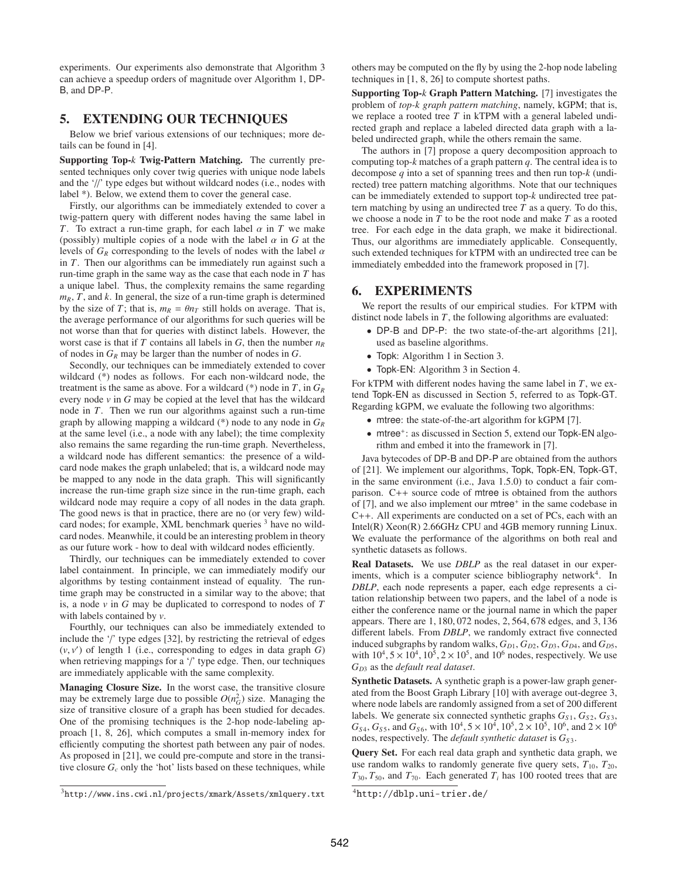experiments. Our experiments also demonstrate that Algorithm 3 can achieve a speedup orders of magnitude over Algorithm 1, DP-B, and DP-P.

# 5. EXTENDING OUR TECHNIQUES

Below we brief various extensions of our techniques; more details can be found in [4].

Supporting Top-*k* Twig-Pattern Matching. The currently presented techniques only cover twig queries with unique node labels and the  $\frac{1}{2}$  type edges but without wildcard nodes (i.e., nodes with label \*). Below, we extend them to cover the general case.

Firstly, our algorithms can be immediately extended to cover a twig-pattern query with different nodes having the same label in *T*. To extract a run-time graph, for each label  $\alpha$  in *T* we make (possibly) multiple copies of a node with the label  $\alpha$  in  $G$  at the levels of  $G_R$  corresponding to the levels of nodes with the label  $\alpha$ in *T*. Then our algorithms can be immediately run against such a run-time graph in the same way as the case that each node in *T* has a unique label. Thus, the complexity remains the same regarding  $m_R$ ,  $T$ , and  $k$ . In general, the size of a run-time graph is determined by the size of *T*; that is,  $m_R = \theta n_T$  still holds on average. That is, the average performance of our algorithms for such queries will be not worse than that for queries with distinct labels. However, the worst case is that if *T* contains all labels in *G*, then the number *nR* of nodes in  $G_R$  may be larger than the number of nodes in  $G$ .

Secondly, our techniques can be immediately extended to cover wildcard (\*) nodes as follows. For each non-wildcard node, the treatment is the same as above. For a wildcard (\*) node in *T*, in *GR* every node  $\nu$  in  $G$  may be copied at the level that has the wildcard node in *T*. Then we run our algorithms against such a run-time graph by allowing mapping a wildcard (\*) node to any node in *GR* at the same level (i.e., a node with any label); the time complexity also remains the same regarding the run-time graph. Nevertheless, a wildcard node has different semantics: the presence of a wildcard node makes the graph unlabeled; that is, a wildcard node may be mapped to any node in the data graph. This will significantly increase the run-time graph size since in the run-time graph, each wildcard node may require a copy of all nodes in the data graph. The good news is that in practice, there are no (or very few) wildcard nodes; for example, XML benchmark queries <sup>3</sup> have no wildcard nodes. Meanwhile, it could be an interesting problem in theory as our future work - how to deal with wildcard nodes efficiently.

Thirdly, our techniques can be immediately extended to cover label containment. In principle, we can immediately modify our algorithms by testing containment instead of equality. The runtime graph may be constructed in a similar way to the above; that is, a node *v* in *G* may be duplicated to correspond to nodes of *T* with labels contained by *v*.

Fourthly, our techniques can also be immediately extended to include the '/' type edges [32], by restricting the retrieval of edges  $(v, v')$  of length 1 (i.e., corresponding to edges in data graph  $G$ ) when retrieving mappings for a '/' type edge. Then, our techniques are immediately applicable with the same complexity.

Managing Closure Size. In the worst case, the transitive closure may be extremely large due to possible  $O(n_G^2)$  size. Managing the size of transitive closure of a graph has been studied for decades. One of the promising techniques is the 2-hop node-labeling approach [1, 8, 26], which computes a small in-memory index for efficiently computing the shortest path between any pair of nodes. As proposed in [21], we could pre-compute and store in the transitive closure  $G_c$  only the 'hot' lists based on these techniques, while others may be computed on the fly by using the 2-hop node labeling techniques in [1, 8, 26] to compute shortest paths.

Supporting Top-*k* Graph Pattern Matching. [7] investigates the problem of *top-k graph pattern matching*, namely, kGPM; that is, we replace a rooted tree *T* in kTPM with a general labeled undirected graph and replace a labeled directed data graph with a labeled undirected graph, while the others remain the same.

The authors in [7] propose a query decomposition approach to computing top-*k* matches of a graph pattern *q*. The central idea is to decompose *q* into a set of spanning trees and then run top-*k* (undirected) tree pattern matching algorithms. Note that our techniques can be immediately extended to support top-*k* undirected tree pattern matching by using an undirected tree *T* as a query. To do this, we choose a node in *T* to be the root node and make *T* as a rooted tree. For each edge in the data graph, we make it bidirectional. Thus, our algorithms are immediately applicable. Consequently, such extended techniques for kTPM with an undirected tree can be immediately embedded into the framework proposed in [7].

## 6. EXPERIMENTS

We report the results of our empirical studies. For kTPM with distinct node labels in *T*, the following algorithms are evaluated:

- DP-B and DP-P: the two state-of-the-art algorithms [21], used as baseline algorithms.
- Topk: Algorithm 1 in Section 3.
- Topk-EN: Algorithm 3 in Section 4.

For kTPM with different nodes having the same label in *T*, we extend Topk-EN as discussed in Section 5, referred to as Topk-GT. Regarding kGPM, we evaluate the following two algorithms:

- mtree: the state-of-the-art algorithm for kGPM [7].
- mtree<sup>+</sup>: as discussed in Section 5, extend our Topk-EN algorithm and embed it into the framework in [7].

Java bytecodes of DP-B and DP-P are obtained from the authors of [21]. We implement our algorithms, Topk, Topk-EN, Topk-GT, in the same environment (i.e., Java 1.5.0) to conduct a fair comparison. C++ source code of mtree is obtained from the authors of [7], and we also implement our mtree<sup>+</sup> in the same codebase in C++. All experiments are conducted on a set of PCs, each with an Intel(R) Xeon(R) 2.66GHz CPU and 4GB memory running Linux. We evaluate the performance of the algorithms on both real and synthetic datasets as follows.

Real Datasets. We use *DBLP* as the real dataset in our experiments, which is a computer science bibliography network<sup>4</sup>. In *DBLP*, each node represents a paper, each edge represents a citation relationship between two papers, and the label of a node is either the conference name or the journal name in which the paper appears. There are 1, 180, 072 nodes, 2, 564, 678 edges, and 3, 136 different labels. From *DBLP*, we randomly extract five connected induced subgraphs by random walks,  $G_{D1}$ ,  $G_{D2}$ ,  $G_{D3}$ ,  $G_{D4}$ , and  $G_{D5}$ , with  $10^4$ ,  $5 \times 10^4$ ,  $10^5$ ,  $2 \times 10^5$ , and  $10^6$  nodes, respectively. We use *GD*<sup>3</sup> as the *default real dataset*.

Synthetic Datasets. A synthetic graph is a power-law graph generated from the Boost Graph Library [10] with average out-degree 3, where node labels are randomly assigned from a set of 200 different labels. We generate six connected synthetic graphs  $G_{S1}$ ,  $G_{S2}$ ,  $G_{S3}$ ,  $G_{S4}$ ,  $G_{S5}$ , and  $G_{S6}$ , with  $10^4$ ,  $5 \times 10^4$ ,  $10^5$ ,  $2 \times 10^5$ ,  $10^6$ , and  $2 \times 10^6$ nodes, respectively. The *default synthetic dataset* is  $G_{S3}$ .

Query Set. For each real data graph and synthetic data graph, we use random walks to randomly generate five query sets,  $T_{10}$ ,  $T_{20}$ ,  $T_{30}$ ,  $T_{50}$ , and  $T_{70}$ . Each generated  $T_i$  has 100 rooted trees that are

<sup>3</sup>http://www.ins.cwi.nl/projects/xmark/Assets/xmlquery.txt

<sup>4</sup>http://dblp.uni-trier.de/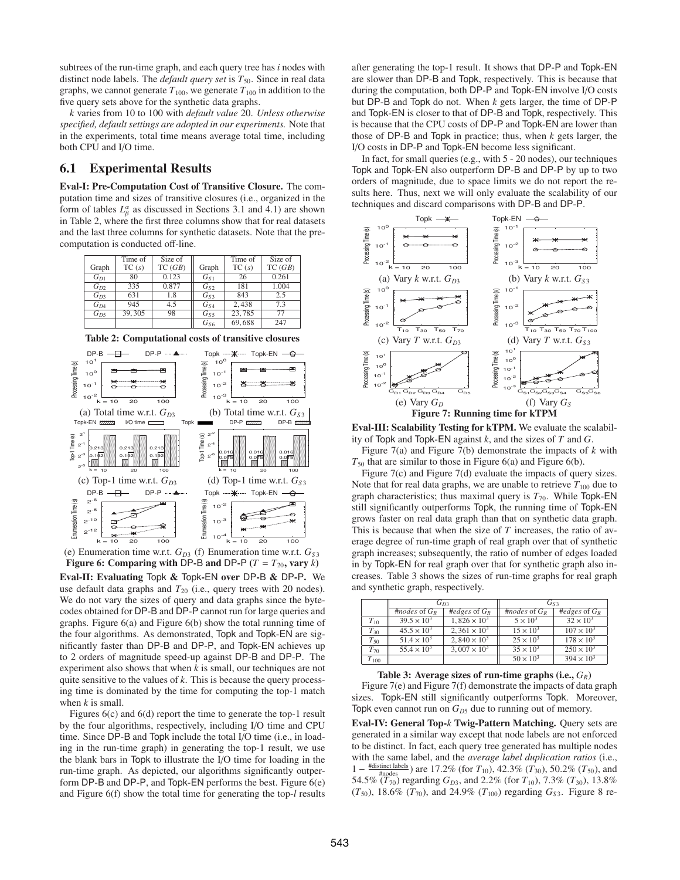subtrees of the run-time graph, and each query tree has *i* nodes with distinct node labels. The *default query set* is  $T_{50}$ . Since in real data graphs, we cannot generate  $T_{100}$ , we generate  $T_{100}$  in addition to the five query sets above for the synthetic data graphs.

*k* varies from 10 to 100 with *default value* 20. *Unless otherwise specified, default settings are adopted in our experiments.* Note that in the experiments, total time means average total time, including both CPU and I/O time.

# 6.1 Experimental Results

Eval-I: Pre-Computation Cost of Transitive Closure. The computation time and sizes of transitive closures (i.e., organized in the form of tables  $L^{\alpha}_{\beta}$  as discussed in Sections 3.1 and 4.1) are shown in Table 2, where the first three columns show that for real datasets and the last three columns for synthetic datasets. Note that the precomputation is conducted off-line.

|          | Time of | Size of |                 | Time of | Size of |
|----------|---------|---------|-----------------|---------|---------|
| Graph    | TC(s)   | TC(GB)  | Graph           | TC(s)   | TC(GB)  |
| $G_{D1}$ | 80      | 0.123   | $G_{S1}$        | 26      | 0.261   |
| $G_{D2}$ | 335     | 0.877   | $G_{S2}$        | 181     | 1.004   |
| $G_{D3}$ | 631     | 1.8     | $G_{S3}$        | 843     | 2.5     |
| $G_{D4}$ | 945     | 4.5     | G <sub>S4</sub> | 2,438   | 7.3     |
| $G_{D5}$ | 39, 305 | 98      | $G_{S5}$        | 23,785  | 77      |
|          |         |         | $G_{S6}$        | 69,688  | 247     |

Table 2: Computational costs of transitive closures



(e) Enumeration time w.r.t.  $G_{D3}$  (f) Enumeration time w.r.t.  $G_{S3}$ Figure 6: Comparing with DP-B and DP-P ( $T = T_{20}$ , vary  $k$ ) Eval-II: Evaluating Topk & Topk-EN over DP-B & DP-P. We use default data graphs and  $T_{20}$  (i.e., query trees with 20 nodes). We do not vary the sizes of query and data graphs since the bytecodes obtained for DP-B and DP-P cannot run for large queries and graphs. Figure 6(a) and Figure 6(b) show the total running time of the four algorithms. As demonstrated, Topk and Topk-EN are sig-

nificantly faster than DP-B and DP-P, and Topk-EN achieves up to 2 orders of magnitude speed-up against DP-B and DP-P. The experiment also shows that when *k* is small, our techniques are not quite sensitive to the values of *k*. This is because the query processing time is dominated by the time for computing the top-1 match when *k* is small.

Figures 6(c) and 6(d) report the time to generate the top-1 result by the four algorithms, respectively, including I/O time and CPU time. Since DP-B and Topk include the total I/O time (i.e., in loading in the run-time graph) in generating the top-1 result, we use the blank bars in Topk to illustrate the I/O time for loading in the run-time graph. As depicted, our algorithms significantly outperform DP-B and DP-P, and Topk-EN performs the best. Figure 6(e) and Figure 6(f) show the total time for generating the top-*l* results

after generating the top-1 result. It shows that DP-P and Topk-EN are slower than DP-B and Topk, respectively. This is because that during the computation, both DP-P and Topk-EN involve I/O costs but DP-B and Topk do not. When *k* gets larger, the time of DP-P and Topk-EN is closer to that of DP-B and Topk, respectively. This is because that the CPU costs of DP-P and Topk-EN are lower than those of DP-B and Topk in practice; thus, when *k* gets larger, the I/O costs in DP-P and Topk-EN become less significant.

In fact, for small queries (e.g., with 5 - 20 nodes), our techniques Topk and Topk-EN also outperform DP-B and DP-P by up to two orders of magnitude, due to space limits we do not report the results here. Thus, next we will only evaluate the scalability of our techniques and discard comparisons with DP-B and DP-P.



Eval-III: Scalability Testing for kTPM. We evaluate the scalability of Topk and Topk-EN against *k*, and the sizes of *T* and *G*.

Figure 7(a) and Figure 7(b) demonstrate the impacts of *k* with *T*<sup>50</sup> that are similar to those in Figure 6(a) and Figure 6(b).

Figure 7(c) and Figure 7(d) evaluate the impacts of query sizes. Note that for real data graphs, we are unable to retrieve  $T_{100}$  due to graph characteristics; thus maximal query is  $T_{70}$ . While Topk-EN still significantly outperforms Topk, the running time of Topk-EN grows faster on real data graph than that on synthetic data graph. This is because that when the size of *T* increases, the ratio of average degree of run-time graph of real graph over that of synthetic graph increases; subsequently, the ratio of number of edges loaded in by Topk-EN for real graph over that for synthetic graph also increases. Table 3 shows the sizes of run-time graphs for real graph and synthetic graph, respectively.

|           | $G_{D3}$             |                                | $G_{S3}$           |                     |  |
|-----------|----------------------|--------------------------------|--------------------|---------------------|--|
|           | #nodes of $G_R$      | #edges of $G_R$                | #nodes of $G_R$    | #edges of $G_R$     |  |
| $T_{10}$  | $39.5 \times 10^3$   | $1.826 \times 10^3$            | $5 \times 10^3$    | $32 \times 10^3$    |  |
| $T_{30}$  | $45.5 \times 10^{3}$ | 2.361 $\times$ 10 <sup>3</sup> | $15 \times 10^{3}$ | $107 \times 10^{3}$ |  |
| $T_{50}$  | $51.4 \times 10^3$   | 2.840 $\times$ 10 <sup>3</sup> | $25 \times 10^3$   | $178 \times 10^{3}$ |  |
| $T_{70}$  | $55.4 \times 10^3$   | $3,007 \times 10^{3}$          | $35 \times 10^{3}$ | $250 \times 10^{3}$ |  |
| $T_{100}$ |                      |                                | $50 \times 10^{3}$ | $394 \times 10^{3}$ |  |

Table 3: Average sizes of run-time graphs (i.e., *GR*) Figure 7(e) and Figure 7(f) demonstrate the impacts of data graph sizes. Topk-EN still significantly outperforms Topk. Moreover, Topk even cannot run on  $G_{D5}$  due to running out of memory.

Eval-IV: General Top-*k* Twig-Pattern Matching. Query sets are generated in a similar way except that node labels are not enforced to be distinct. In fact, each query tree generated has multiple nodes with the same label, and the *average label duplication ratios* (i.e., 1 − #distinct labels #nodes ) are 17.2% (for *T*10), 42.3% (*T*30), 50.2% (*T*50), and 54.5% ( $T_{70}$ ) regarding  $G_{D3}$ , and 2.2% (for  $T_{10}$ ), 7.3% ( $T_{30}$ ), 13.8%  $(T_{50})$ , 18.6%  $(T_{70})$ , and 24.9%  $(T_{100})$  regarding  $G_{53}$ . Figure 8 re